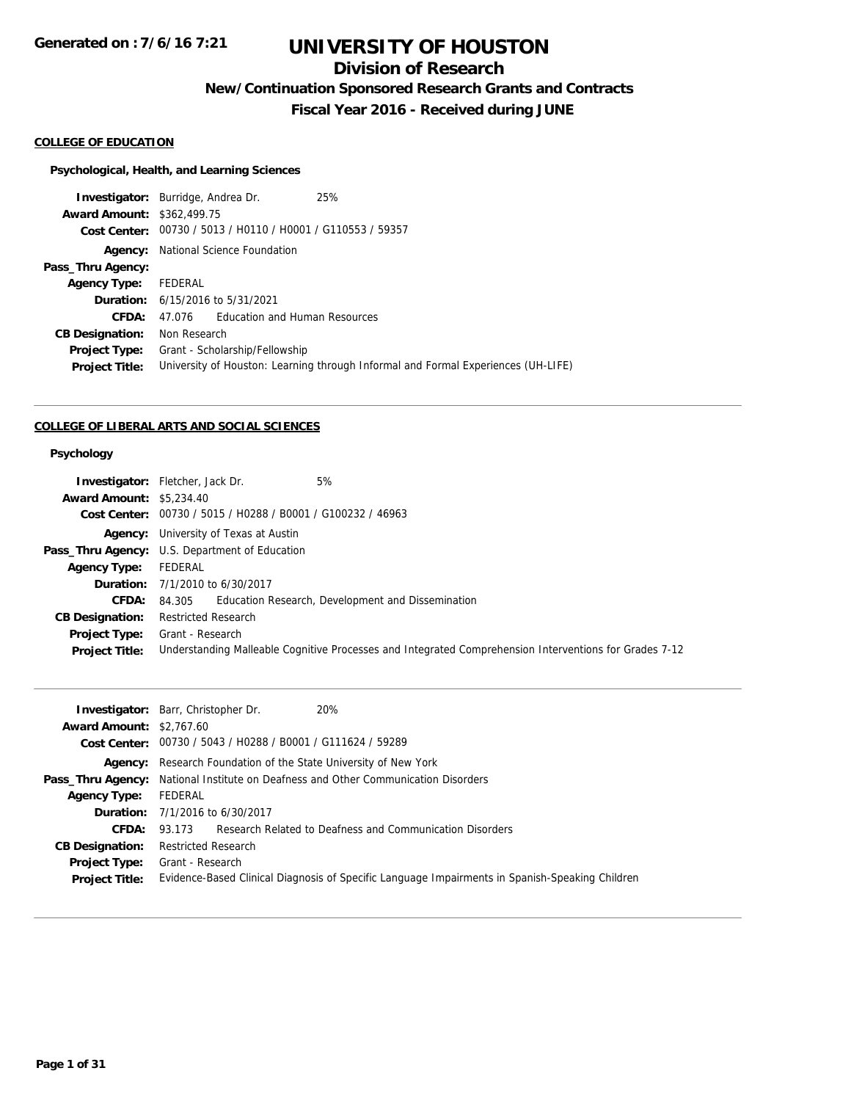## **Division of Research**

**New/Continuation Sponsored Research Grants and Contracts**

**Fiscal Year 2016 - Received during JUNE**

#### **COLLEGE OF EDUCATION**

#### **Psychological, Health, and Learning Sciences**

**Investigator:** Burridge, Andrea Dr. 25% **Award Amount:** \$362,499.75 **Cost Center:** 00730 / 5013 / H0110 / H0001 / G110553 / 59357 **Agency:** National Science Foundation **Pass\_Thru Agency: Agency Type:** FEDERAL **Duration:** 6/15/2016 to 5/31/2021 **CFDA:** 47.076 Education and Human Resources **CB Designation:** Non Research **Project Type:** Grant - Scholarship/Fellowship **Project Title:** University of Houston: Learning through Informal and Formal Experiences (UH-LIFE)

#### **COLLEGE OF LIBERAL ARTS AND SOCIAL SCIENCES**

#### **Psychology**

|                                 | 5%<br><b>Investigator:</b> Fletcher, Jack Dr.                                                          |
|---------------------------------|--------------------------------------------------------------------------------------------------------|
| <b>Award Amount: \$5,234.40</b> |                                                                                                        |
|                                 | Cost Center: 00730 / 5015 / H0288 / B0001 / G100232 / 46963                                            |
|                                 | <b>Agency:</b> University of Texas at Austin                                                           |
|                                 | <b>Pass_Thru Agency:</b> U.S. Department of Education                                                  |
| <b>Agency Type:</b>             | FEDERAL                                                                                                |
|                                 | <b>Duration:</b> 7/1/2010 to 6/30/2017                                                                 |
| <b>CFDA:</b>                    | 84.305 Education Research, Development and Dissemination                                               |
| <b>CB Designation:</b>          | Restricted Research                                                                                    |
| <b>Project Type:</b>            | Grant - Research                                                                                       |
| <b>Project Title:</b>           | Understanding Malleable Cognitive Processes and Integrated Comprehension Interventions for Grades 7-12 |

|                                 | 20%<br><b>Investigator:</b> Barr, Christopher Dr.                                               |
|---------------------------------|-------------------------------------------------------------------------------------------------|
| <b>Award Amount: \$2,767.60</b> |                                                                                                 |
|                                 | Cost Center: 00730 / 5043 / H0288 / B0001 / G111624 / 59289                                     |
|                                 | <b>Agency:</b> Research Foundation of the State University of New York                          |
|                                 | <b>Pass_Thru Agency:</b> National Institute on Deafness and Other Communication Disorders       |
| <b>Agency Type:</b>             | FEDERAL                                                                                         |
|                                 | <b>Duration:</b> 7/1/2016 to 6/30/2017                                                          |
| CFDA:                           | 93.173 Research Related to Deafness and Communication Disorders                                 |
| <b>CB Designation:</b>          | Restricted Research                                                                             |
| <b>Project Type:</b>            | Grant - Research                                                                                |
| <b>Project Title:</b>           | Evidence-Based Clinical Diagnosis of Specific Language Impairments in Spanish-Speaking Children |
|                                 |                                                                                                 |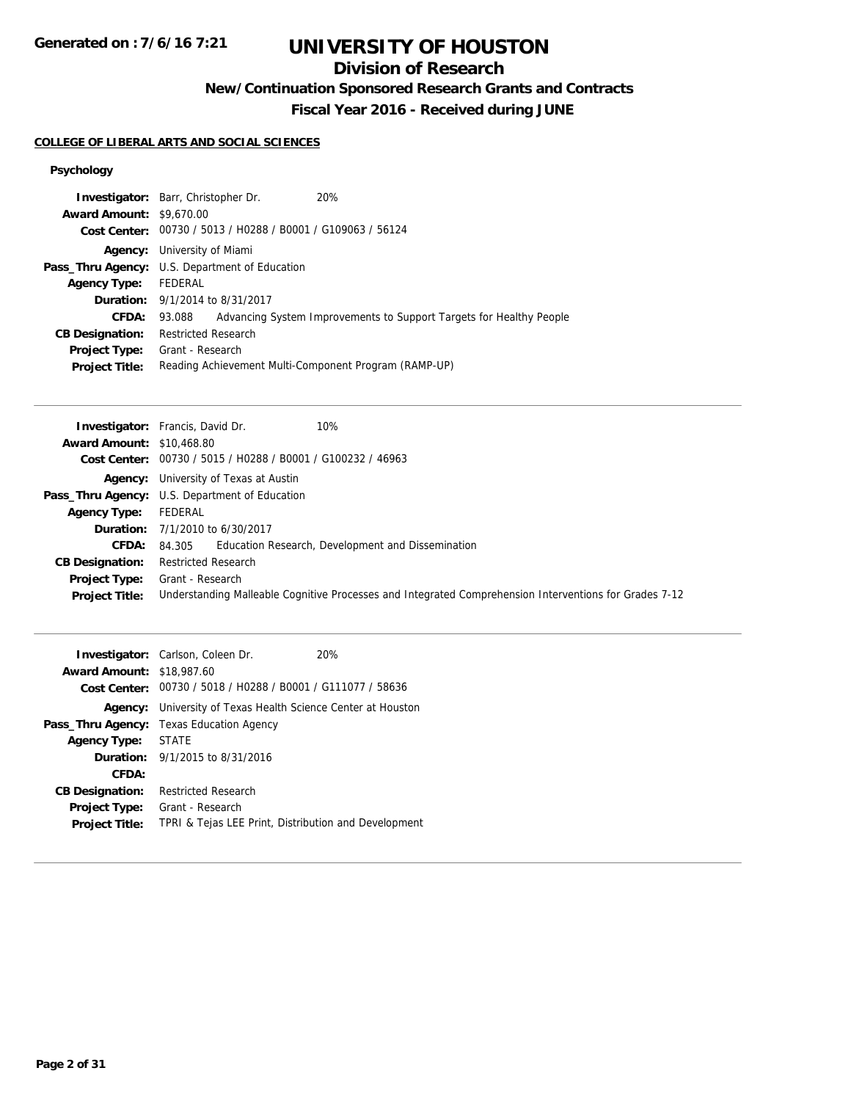**Generated on : 7/6/16 7:21**

# **UNIVERSITY OF HOUSTON**

## **Division of Research**

**New/Continuation Sponsored Research Grants and Contracts**

**Fiscal Year 2016 - Received during JUNE**

#### **COLLEGE OF LIBERAL ARTS AND SOCIAL SCIENCES**

### **Psychology**

|                                 | <b>Investigator:</b> Barr, Christopher Dr.                  | 20%                                                                 |
|---------------------------------|-------------------------------------------------------------|---------------------------------------------------------------------|
| <b>Award Amount: \$9,670.00</b> |                                                             |                                                                     |
|                                 | Cost Center: 00730 / 5013 / H0288 / B0001 / G109063 / 56124 |                                                                     |
|                                 | <b>Agency:</b> University of Miami                          |                                                                     |
|                                 | <b>Pass_Thru Agency:</b> U.S. Department of Education       |                                                                     |
| Agency Type: FEDERAL            |                                                             |                                                                     |
|                                 | <b>Duration:</b> 9/1/2014 to 8/31/2017                      |                                                                     |
| <b>CFDA:</b>                    | 93.088                                                      | Advancing System Improvements to Support Targets for Healthy People |
| <b>CB Designation:</b>          | <b>Restricted Research</b>                                  |                                                                     |
| <b>Project Type:</b>            | Grant - Research                                            |                                                                     |
| <b>Project Title:</b>           | Reading Achievement Multi-Component Program (RAMP-UP)       |                                                                     |

|                                  | <b>Investigator:</b> Francis, David Dr.<br>10%                                                         |
|----------------------------------|--------------------------------------------------------------------------------------------------------|
| <b>Award Amount: \$10,468.80</b> |                                                                                                        |
|                                  | Cost Center: 00730 / 5015 / H0288 / B0001 / G100232 / 46963                                            |
|                                  | <b>Agency:</b> University of Texas at Austin                                                           |
|                                  | <b>Pass_Thru Agency:</b> U.S. Department of Education                                                  |
| Agency Type:                     | FEDERAL                                                                                                |
|                                  | <b>Duration:</b> 7/1/2010 to 6/30/2017                                                                 |
| <b>CFDA:</b>                     | 84.305 Education Research, Development and Dissemination                                               |
| <b>CB Designation:</b>           | <b>Restricted Research</b>                                                                             |
| Project Type:                    | Grant - Research                                                                                       |
| <b>Project Title:</b>            | Understanding Malleable Cognitive Processes and Integrated Comprehension Interventions for Grades 7-12 |

|                                  | <b>Investigator:</b> Carlson, Coleen Dr.                            | 20% |
|----------------------------------|---------------------------------------------------------------------|-----|
| <b>Award Amount: \$18,987.60</b> |                                                                     |     |
|                                  | Cost Center: 00730 / 5018 / H0288 / B0001 / G111077 / 58636         |     |
|                                  | <b>Agency:</b> University of Texas Health Science Center at Houston |     |
|                                  | <b>Pass_Thru Agency:</b> Texas Education Agency                     |     |
| Agency Type: STATE               |                                                                     |     |
|                                  | <b>Duration:</b> 9/1/2015 to 8/31/2016                              |     |
| CFDA:                            |                                                                     |     |
| <b>CB Designation:</b>           | <b>Restricted Research</b>                                          |     |
| <b>Project Type:</b>             | Grant - Research                                                    |     |
| <b>Project Title:</b>            | TPRI & Tejas LEE Print, Distribution and Development                |     |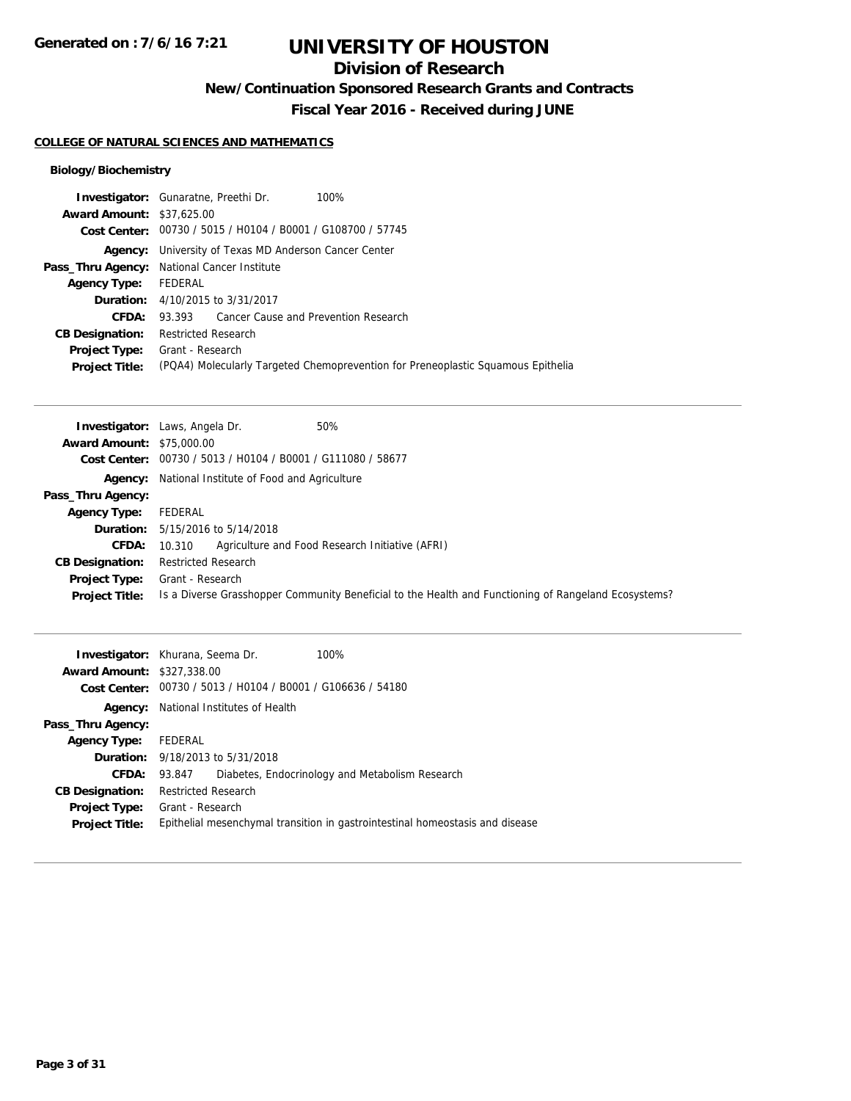## **Division of Research**

**New/Continuation Sponsored Research Grants and Contracts**

**Fiscal Year 2016 - Received during JUNE**

### **COLLEGE OF NATURAL SCIENCES AND MATHEMATICS**

### **Biology/Biochemistry**

|                                  | <b>Investigator:</b> Gunaratne, Preethi Dr.<br>100%                              |
|----------------------------------|----------------------------------------------------------------------------------|
| <b>Award Amount: \$37,625,00</b> |                                                                                  |
|                                  | Cost Center: 00730 / 5015 / H0104 / B0001 / G108700 / 57745                      |
|                                  | <b>Agency:</b> University of Texas MD Anderson Cancer Center                     |
|                                  | Pass_Thru Agency: National Cancer Institute                                      |
| Agency Type: FEDERAL             |                                                                                  |
|                                  | <b>Duration:</b> 4/10/2015 to 3/31/2017                                          |
| CFDA:                            | 93.393 Cancer Cause and Prevention Research                                      |
| <b>CB Designation:</b>           | <b>Restricted Research</b>                                                       |
| <b>Project Type:</b>             | Grant - Research                                                                 |
| <b>Project Title:</b>            | (PQA4) Molecularly Targeted Chemoprevention for Preneoplastic Squamous Epithelia |
|                                  |                                                                                  |

|                                  | 50%<br><b>Investigator:</b> Laws, Angela Dr.                                                         |
|----------------------------------|------------------------------------------------------------------------------------------------------|
| <b>Award Amount: \$75,000.00</b> |                                                                                                      |
|                                  | Cost Center: 00730 / 5013 / H0104 / B0001 / G111080 / 58677                                          |
|                                  | <b>Agency:</b> National Institute of Food and Agriculture                                            |
| Pass_Thru Agency:                |                                                                                                      |
| <b>Agency Type:</b>              | FEDERAL                                                                                              |
|                                  | <b>Duration:</b> 5/15/2016 to 5/14/2018                                                              |
| <b>CFDA:</b>                     | Agriculture and Food Research Initiative (AFRI)<br>10.310                                            |
| <b>CB Designation:</b>           | <b>Restricted Research</b>                                                                           |
| <b>Project Type:</b>             | Grant - Research                                                                                     |
| <b>Project Title:</b>            | Is a Diverse Grasshopper Community Beneficial to the Health and Functioning of Rangeland Ecosystems? |

| <b>Award Amount: \$327,338.00</b> | 100%<br><b>Investigator:</b> Khurana, Seema Dr.<br>Cost Center: 00730 / 5013 / H0104 / B0001 / G106636 / 54180 |
|-----------------------------------|----------------------------------------------------------------------------------------------------------------|
|                                   | <b>Agency:</b> National Institutes of Health                                                                   |
| Pass_Thru Agency:                 |                                                                                                                |
| <b>Agency Type:</b>               | FEDERAL                                                                                                        |
|                                   | <b>Duration:</b> 9/18/2013 to 5/31/2018                                                                        |
| <b>CFDA:</b>                      | Diabetes, Endocrinology and Metabolism Research<br>93.847                                                      |
| <b>CB Designation:</b>            | Restricted Research                                                                                            |
| <b>Project Type:</b>              | Grant - Research                                                                                               |
| <b>Project Title:</b>             | Epithelial mesenchymal transition in gastrointestinal homeostasis and disease                                  |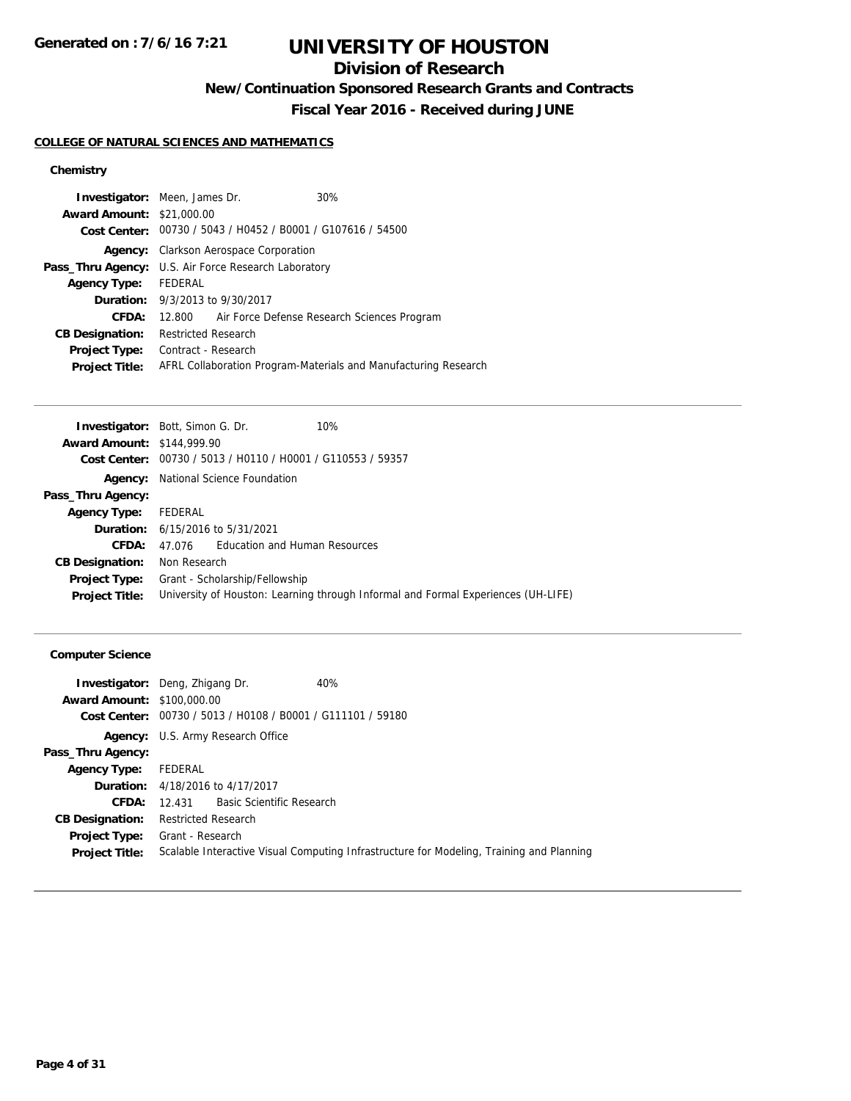## **Division of Research**

**New/Continuation Sponsored Research Grants and Contracts**

**Fiscal Year 2016 - Received during JUNE**

### **COLLEGE OF NATURAL SCIENCES AND MATHEMATICS**

### **Chemistry**

|                                  | <b>Investigator:</b> Meen, James Dr.                        | 30%                                                             |
|----------------------------------|-------------------------------------------------------------|-----------------------------------------------------------------|
| <b>Award Amount: \$21,000.00</b> |                                                             |                                                                 |
|                                  | Cost Center: 00730 / 5043 / H0452 / B0001 / G107616 / 54500 |                                                                 |
|                                  | <b>Agency:</b> Clarkson Aerospace Corporation               |                                                                 |
|                                  | Pass_Thru Agency: U.S. Air Force Research Laboratory        |                                                                 |
| <b>Agency Type:</b>              | FEDERAL                                                     |                                                                 |
|                                  | <b>Duration:</b> 9/3/2013 to 9/30/2017                      |                                                                 |
| CFDA:                            | 12.800                                                      | Air Force Defense Research Sciences Program                     |
| <b>CB Designation:</b>           | <b>Restricted Research</b>                                  |                                                                 |
| <b>Project Type:</b>             | Contract - Research                                         |                                                                 |
| <b>Project Title:</b>            |                                                             | AFRL Collaboration Program-Materials and Manufacturing Research |

|                                   | <b>Investigator:</b> Bott, Simon G. Dr.                     | 10%                                                                               |
|-----------------------------------|-------------------------------------------------------------|-----------------------------------------------------------------------------------|
| <b>Award Amount: \$144,999.90</b> |                                                             |                                                                                   |
|                                   | Cost Center: 00730 / 5013 / H0110 / H0001 / G110553 / 59357 |                                                                                   |
|                                   | <b>Agency:</b> National Science Foundation                  |                                                                                   |
| Pass_Thru Agency:                 |                                                             |                                                                                   |
| <b>Agency Type:</b>               | FEDERAL                                                     |                                                                                   |
|                                   | <b>Duration:</b> 6/15/2016 to 5/31/2021                     |                                                                                   |
| CFDA:                             | 47.076 Education and Human Resources                        |                                                                                   |
| <b>CB Designation:</b>            | Non Research                                                |                                                                                   |
| <b>Project Type:</b>              | Grant - Scholarship/Fellowship                              |                                                                                   |
| <b>Project Title:</b>             |                                                             | University of Houston: Learning through Informal and Formal Experiences (UH-LIFE) |

### **Computer Science**

| <b>Investigator:</b> Deng, Zhigang Dr.                      | 40%                                                                                      |
|-------------------------------------------------------------|------------------------------------------------------------------------------------------|
| <b>Award Amount: \$100,000.00</b>                           |                                                                                          |
| Cost Center: 00730 / 5013 / H0108 / B0001 / G111101 / 59180 |                                                                                          |
| <b>Agency:</b> U.S. Army Research Office                    |                                                                                          |
|                                                             |                                                                                          |
| FEDERAL                                                     |                                                                                          |
| <b>Duration:</b> 4/18/2016 to 4/17/2017                     |                                                                                          |
| <b>CFDA:</b> 12.431 Basic Scientific Research               |                                                                                          |
| Restricted Research                                         |                                                                                          |
| <b>Project Type:</b> Grant - Research                       |                                                                                          |
|                                                             | Scalable Interactive Visual Computing Infrastructure for Modeling, Training and Planning |
|                                                             |                                                                                          |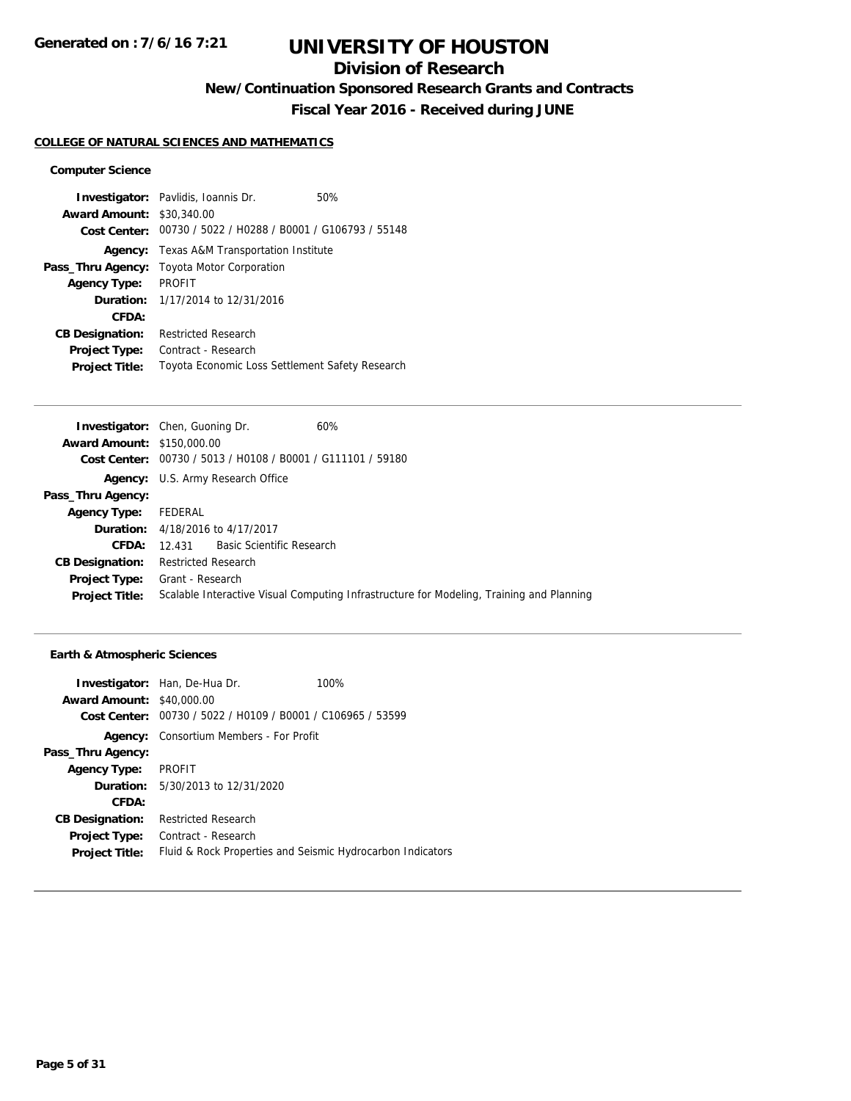## **Division of Research**

**New/Continuation Sponsored Research Grants and Contracts**

**Fiscal Year 2016 - Received during JUNE**

### **COLLEGE OF NATURAL SCIENCES AND MATHEMATICS**

#### **Computer Science**

|                        | <b>Investigator:</b> Pavlidis, Ioannis Dr.      | 50% |
|------------------------|-------------------------------------------------|-----|
| <b>Award Amount:</b>   | \$30,340.00                                     |     |
| Cost Center:           | 00730 / 5022 / H0288 / B0001 / G106793 / 55148  |     |
| Agency:                | Texas A&M Transportation Institute              |     |
| Pass_Thru Agency:      | <b>Toyota Motor Corporation</b>                 |     |
| <b>Agency Type:</b>    | <b>PROFIT</b>                                   |     |
|                        | <b>Duration:</b> $1/17/2014$ to $12/31/2016$    |     |
| CFDA:                  |                                                 |     |
| <b>CB Designation:</b> | <b>Restricted Research</b>                      |     |
| <b>Project Type:</b>   | Contract - Research                             |     |
| <b>Project Title:</b>  | Toyota Economic Loss Settlement Safety Research |     |

|                                   | <b>Investigator:</b> Chen, Guoning Dr.                      | 60%                                                                                      |
|-----------------------------------|-------------------------------------------------------------|------------------------------------------------------------------------------------------|
| <b>Award Amount: \$150,000.00</b> |                                                             |                                                                                          |
|                                   | Cost Center: 00730 / 5013 / H0108 / B0001 / G111101 / 59180 |                                                                                          |
|                                   | <b>Agency:</b> U.S. Army Research Office                    |                                                                                          |
| Pass_Thru Agency:                 |                                                             |                                                                                          |
| <b>Agency Type:</b>               | FEDERAL                                                     |                                                                                          |
|                                   | <b>Duration:</b> 4/18/2016 to 4/17/2017                     |                                                                                          |
| CFDA:                             | 12.431 Basic Scientific Research                            |                                                                                          |
| <b>CB Designation:</b>            | <b>Restricted Research</b>                                  |                                                                                          |
| <b>Project Type:</b>              | Grant - Research                                            |                                                                                          |
| <b>Project Title:</b>             |                                                             | Scalable Interactive Visual Computing Infrastructure for Modeling, Training and Planning |
|                                   |                                                             |                                                                                          |

### **Earth & Atmospheric Sciences**

|                                  | <b>Investigator:</b> Han, De-Hua Dr.                        | 100% |
|----------------------------------|-------------------------------------------------------------|------|
| <b>Award Amount: \$40,000.00</b> |                                                             |      |
|                                  | Cost Center: 00730 / 5022 / H0109 / B0001 / C106965 / 53599 |      |
| Agency:                          | Consortium Members - For Profit                             |      |
| Pass_Thru Agency:                |                                                             |      |
| <b>Agency Type:</b>              | PROFIT                                                      |      |
|                                  | <b>Duration:</b> $5/30/2013$ to $12/31/2020$                |      |
| CFDA:                            |                                                             |      |
| <b>CB Designation:</b>           | <b>Restricted Research</b>                                  |      |
| <b>Project Type:</b>             | Contract - Research                                         |      |
| <b>Project Title:</b>            | Fluid & Rock Properties and Seismic Hydrocarbon Indicators  |      |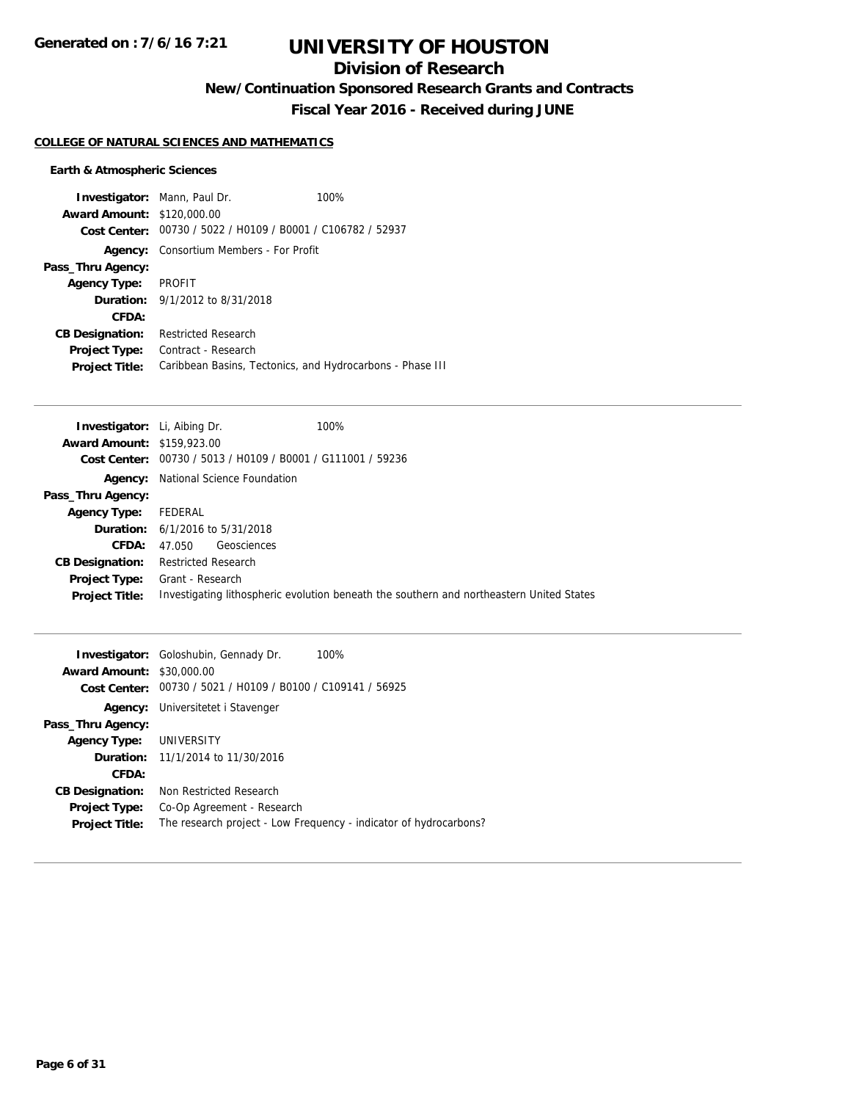## **Division of Research**

**New/Continuation Sponsored Research Grants and Contracts**

**Fiscal Year 2016 - Received during JUNE**

#### **COLLEGE OF NATURAL SCIENCES AND MATHEMATICS**

### **Earth & Atmospheric Sciences**

| <b>Investigator:</b> Mann, Paul Dr. |                                                             | 100% |
|-------------------------------------|-------------------------------------------------------------|------|
| <b>Award Amount: \$120,000.00</b>   |                                                             |      |
|                                     | Cost Center: 00730 / 5022 / H0109 / B0001 / C106782 / 52937 |      |
| Agency:                             | Consortium Members - For Profit                             |      |
| Pass_Thru Agency:                   |                                                             |      |
| <b>Agency Type:</b>                 | PROFIT                                                      |      |
|                                     | <b>Duration:</b> 9/1/2012 to 8/31/2018                      |      |
| CFDA:                               |                                                             |      |
| <b>CB Designation:</b>              | <b>Restricted Research</b>                                  |      |
| <b>Project Type:</b>                | Contract - Research                                         |      |
| <b>Project Title:</b>               | Caribbean Basins, Tectonics, and Hydrocarbons - Phase III   |      |

| <b>Investigator:</b> Li, Aibing Dr. |                                                | 100%                                                                                     |
|-------------------------------------|------------------------------------------------|------------------------------------------------------------------------------------------|
| <b>Award Amount: \$159,923.00</b>   |                                                |                                                                                          |
| <b>Cost Center:</b>                 | 00730 / 5013 / H0109 / B0001 / G111001 / 59236 |                                                                                          |
| Agency:                             | National Science Foundation                    |                                                                                          |
| Pass_Thru Agency:                   |                                                |                                                                                          |
| <b>Agency Type:</b>                 | FEDERAL                                        |                                                                                          |
|                                     | <b>Duration:</b> $6/1/2016$ to $5/31/2018$     |                                                                                          |
| CFDA:                               | Geosciences<br>47.050                          |                                                                                          |
| <b>CB Designation:</b>              | <b>Restricted Research</b>                     |                                                                                          |
| <b>Project Type:</b>                | Grant - Research                               |                                                                                          |
| <b>Project Title:</b>               |                                                | Investigating lithospheric evolution beneath the southern and northeastern United States |
|                                     |                                                |                                                                                          |

|                                  | <b>Investigator:</b> Goloshubin, Gennady Dr.   | 100%                                                              |
|----------------------------------|------------------------------------------------|-------------------------------------------------------------------|
| <b>Award Amount: \$30,000.00</b> |                                                |                                                                   |
| Cost Center:                     | 00730 / 5021 / H0109 / B0100 / C109141 / 56925 |                                                                   |
| Agency:                          | Universitetet i Stavenger                      |                                                                   |
| Pass_Thru Agency:                |                                                |                                                                   |
| Agency Type: UNIVERSITY          |                                                |                                                                   |
|                                  | <b>Duration:</b> $11/1/2014$ to $11/30/2016$   |                                                                   |
| CFDA:                            |                                                |                                                                   |
| <b>CB Designation:</b>           | Non Restricted Research                        |                                                                   |
| Project Type:                    | Co-Op Agreement - Research                     |                                                                   |
| <b>Project Title:</b>            |                                                | The research project - Low Frequency - indicator of hydrocarbons? |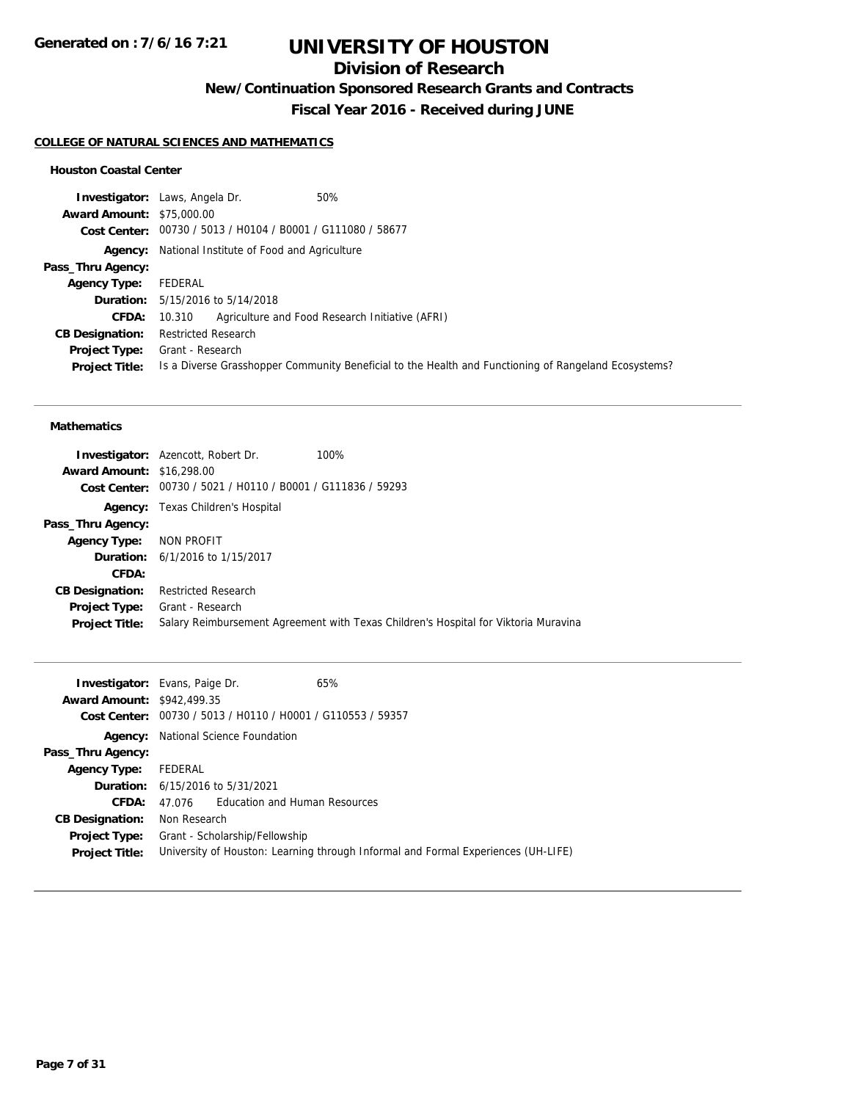## **Division of Research**

**New/Continuation Sponsored Research Grants and Contracts**

**Fiscal Year 2016 - Received during JUNE**

#### **COLLEGE OF NATURAL SCIENCES AND MATHEMATICS**

#### **Houston Coastal Center**

|                                  | <b>Investigator:</b> Laws, Angela Dr.<br>50%                                                         |
|----------------------------------|------------------------------------------------------------------------------------------------------|
| <b>Award Amount: \$75,000.00</b> |                                                                                                      |
|                                  | Cost Center: 00730 / 5013 / H0104 / B0001 / G111080 / 58677                                          |
|                                  | <b>Agency:</b> National Institute of Food and Agriculture                                            |
| Pass_Thru Agency:                |                                                                                                      |
| <b>Agency Type:</b>              | FEDERAL                                                                                              |
|                                  | <b>Duration:</b> 5/15/2016 to 5/14/2018                                                              |
| <b>CFDA:</b>                     | Agriculture and Food Research Initiative (AFRI)<br>10.310                                            |
| <b>CB Designation:</b>           | <b>Restricted Research</b>                                                                           |
| <b>Project Type:</b>             | Grant - Research                                                                                     |
| <b>Project Title:</b>            | Is a Diverse Grasshopper Community Beneficial to the Health and Functioning of Rangeland Ecosystems? |

#### **Mathematics**

| <b>Award Amount: \$16,298.00</b>       | <b>Investigator:</b> Azencott, Robert Dr.<br>Cost Center: 00730 / 5021 / H0110 / B0001 / G111836 / 59293 | 100%                                                                                |
|----------------------------------------|----------------------------------------------------------------------------------------------------------|-------------------------------------------------------------------------------------|
|                                        | <b>Agency:</b> Texas Children's Hospital                                                                 |                                                                                     |
| Pass_Thru Agency:                      |                                                                                                          |                                                                                     |
| <b>Agency Type:</b>                    | NON PROFIT                                                                                               |                                                                                     |
|                                        | <b>Duration:</b> 6/1/2016 to 1/15/2017                                                                   |                                                                                     |
| CFDA:                                  |                                                                                                          |                                                                                     |
| <b>CB Designation:</b>                 | <b>Restricted Research</b>                                                                               |                                                                                     |
| Project Type:<br><b>Project Title:</b> | Grant - Research                                                                                         | Salary Reimbursement Agreement with Texas Children's Hospital for Viktoria Muravina |

| <b>Investigator:</b> Evans, Paige Dr. |                                                                                   |                                                             | 65% |
|---------------------------------------|-----------------------------------------------------------------------------------|-------------------------------------------------------------|-----|
| <b>Award Amount: \$942.499.35</b>     |                                                                                   |                                                             |     |
|                                       |                                                                                   | Cost Center: 00730 / 5013 / H0110 / H0001 / G110553 / 59357 |     |
|                                       | <b>Agency:</b> National Science Foundation                                        |                                                             |     |
| Pass_Thru Agency:                     |                                                                                   |                                                             |     |
| <b>Agency Type:</b>                   | FEDERAL                                                                           |                                                             |     |
|                                       | <b>Duration:</b> 6/15/2016 to 5/31/2021                                           |                                                             |     |
| CFDA:                                 | 47 076                                                                            | Education and Human Resources                               |     |
| <b>CB Designation:</b>                | Non Research                                                                      |                                                             |     |
| <b>Project Type:</b>                  | Grant - Scholarship/Fellowship                                                    |                                                             |     |
| <b>Project Title:</b>                 | University of Houston: Learning through Informal and Formal Experiences (UH-LIFE) |                                                             |     |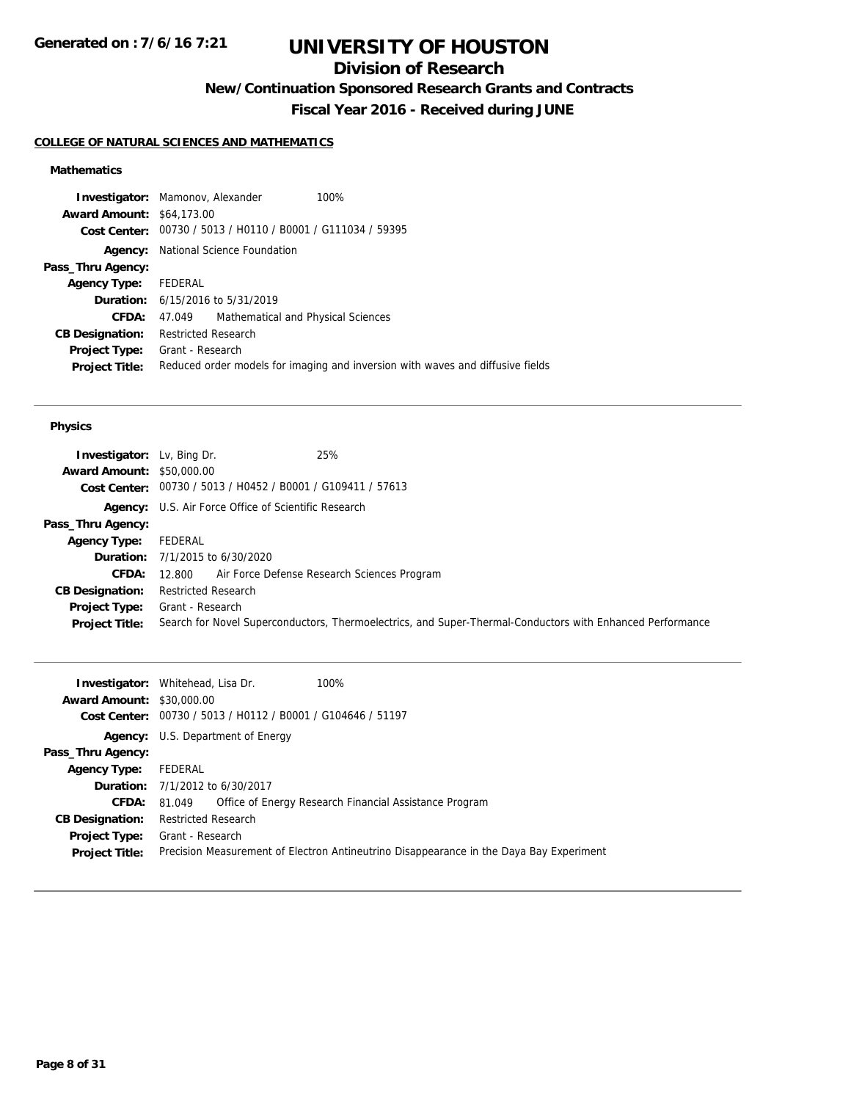## **Division of Research**

**New/Continuation Sponsored Research Grants and Contracts**

**Fiscal Year 2016 - Received during JUNE**

### **COLLEGE OF NATURAL SCIENCES AND MATHEMATICS**

### **Mathematics**

| <b>Investigator:</b> Mamonov, Alexander |                                         |                                                             | 100%                                                                           |
|-----------------------------------------|-----------------------------------------|-------------------------------------------------------------|--------------------------------------------------------------------------------|
| <b>Award Amount: \$64,173.00</b>        |                                         |                                                             |                                                                                |
|                                         |                                         | Cost Center: 00730 / 5013 / H0110 / B0001 / G111034 / 59395 |                                                                                |
|                                         |                                         | <b>Agency:</b> National Science Foundation                  |                                                                                |
| Pass_Thru Agency:                       |                                         |                                                             |                                                                                |
| <b>Agency Type:</b>                     | FEDERAL                                 |                                                             |                                                                                |
|                                         | <b>Duration:</b> 6/15/2016 to 5/31/2019 |                                                             |                                                                                |
| CFDA:                                   |                                         | 47.049 Mathematical and Physical Sciences                   |                                                                                |
| <b>CB Designation:</b>                  | Restricted Research                     |                                                             |                                                                                |
| <b>Project Type:</b>                    | Grant - Research                        |                                                             |                                                                                |
| <b>Project Title:</b>                   |                                         |                                                             | Reduced order models for imaging and inversion with waves and diffusive fields |

#### **Physics**

| <b>Investigator:</b> Lv, Bing Dr.<br><b>Award Amount: \$50,000.00</b> | 25%<br>Cost Center: 00730 / 5013 / H0452 / B0001 / G109411 / 57613                                        |
|-----------------------------------------------------------------------|-----------------------------------------------------------------------------------------------------------|
|                                                                       | <b>Agency:</b> U.S. Air Force Office of Scientific Research                                               |
| Pass_Thru Agency:                                                     |                                                                                                           |
| <b>Agency Type:</b>                                                   | FEDERAL                                                                                                   |
|                                                                       | <b>Duration:</b> 7/1/2015 to 6/30/2020                                                                    |
| CFDA:                                                                 | Air Force Defense Research Sciences Program<br>12.800                                                     |
| <b>CB Designation:</b>                                                | <b>Restricted Research</b>                                                                                |
| <b>Project Type:</b>                                                  | Grant - Research                                                                                          |
| <b>Project Title:</b>                                                 | Search for Novel Superconductors, Thermoelectrics, and Super-Thermal-Conductors with Enhanced Performance |

| <b>Award Amount: \$30,000.00</b> | <b>Investigator:</b> Whitehead, Lisa Dr.<br>100%                                        |
|----------------------------------|-----------------------------------------------------------------------------------------|
|                                  | Cost Center: 00730 / 5013 / H0112 / B0001 / G104646 / 51197                             |
|                                  | <b>Agency:</b> U.S. Department of Energy                                                |
| Pass_Thru Agency:                |                                                                                         |
| <b>Agency Type:</b>              | FEDERAL                                                                                 |
|                                  | <b>Duration:</b> 7/1/2012 to 6/30/2017                                                  |
| <b>CFDA:</b>                     | Office of Energy Research Financial Assistance Program<br>81.049                        |
| <b>CB Designation:</b>           | <b>Restricted Research</b>                                                              |
| Project Type:                    | Grant - Research                                                                        |
| <b>Project Title:</b>            | Precision Measurement of Electron Antineutrino Disappearance in the Daya Bay Experiment |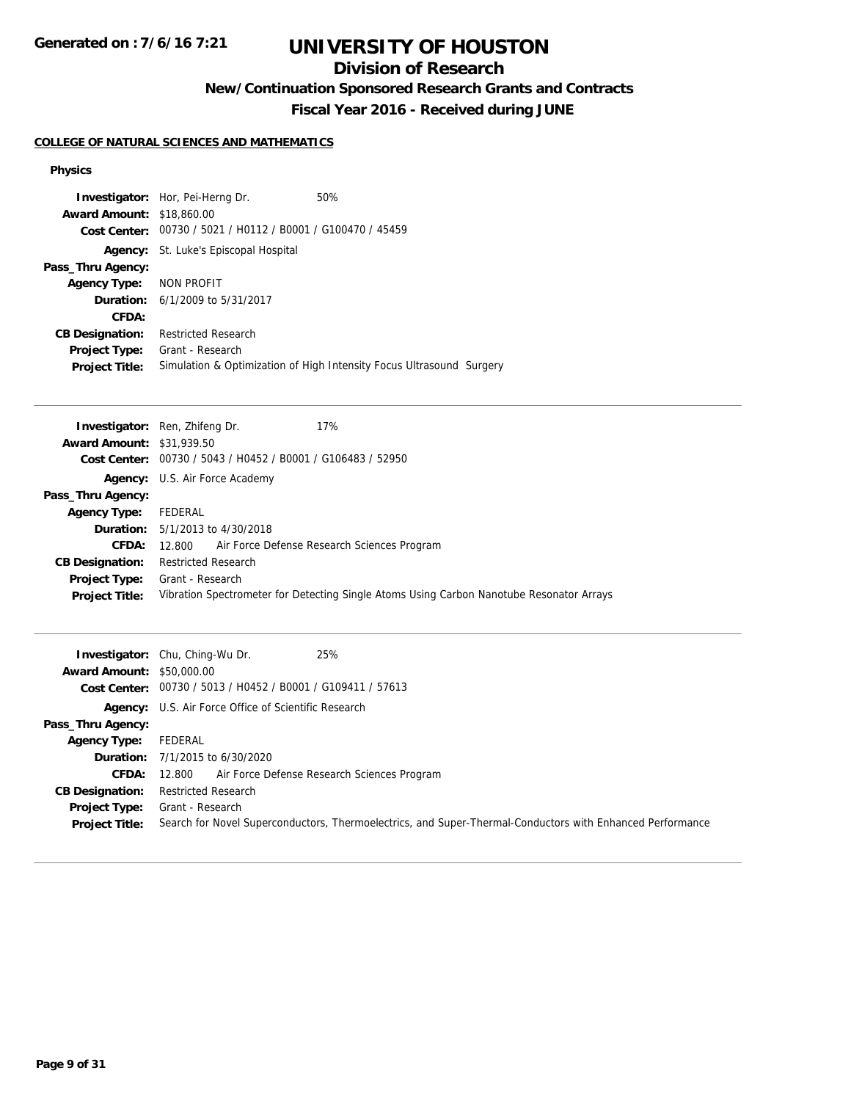**Generated on : 7/6/16 7:21**

# **UNIVERSITY OF HOUSTON**

## **Division of Research**

**New/Continuation Sponsored Research Grants and Contracts**

**Fiscal Year 2016 - Received during JUNE**

### **COLLEGE OF NATURAL SCIENCES AND MATHEMATICS**

### **Physics**

|                                  | <b>Investigator:</b> Hor, Pei-Herng Dr.                     | 50%                                                                  |
|----------------------------------|-------------------------------------------------------------|----------------------------------------------------------------------|
| <b>Award Amount: \$18,860.00</b> |                                                             |                                                                      |
|                                  | Cost Center: 00730 / 5021 / H0112 / B0001 / G100470 / 45459 |                                                                      |
|                                  | <b>Agency:</b> St. Luke's Episcopal Hospital                |                                                                      |
| Pass_Thru Agency:                |                                                             |                                                                      |
| <b>Agency Type:</b>              | NON PROFIT                                                  |                                                                      |
|                                  | <b>Duration:</b> 6/1/2009 to 5/31/2017                      |                                                                      |
| CFDA:                            |                                                             |                                                                      |
| <b>CB Designation:</b>           | <b>Restricted Research</b>                                  |                                                                      |
| Project Type:                    | Grant - Research                                            |                                                                      |
| <b>Project Title:</b>            |                                                             | Simulation & Optimization of High Intensity Focus Ultrasound Surgery |

|                                  | 17%<br><b>Investigator:</b> Ren, Zhifeng Dr.                                             |  |
|----------------------------------|------------------------------------------------------------------------------------------|--|
| <b>Award Amount: \$31,939.50</b> |                                                                                          |  |
|                                  | Cost Center: 00730 / 5043 / H0452 / B0001 / G106483 / 52950                              |  |
|                                  | <b>Agency:</b> U.S. Air Force Academy                                                    |  |
| Pass_Thru Agency:                |                                                                                          |  |
| <b>Agency Type:</b>              | FEDERAL                                                                                  |  |
|                                  | <b>Duration:</b> $5/1/2013$ to $4/30/2018$                                               |  |
| <b>CFDA:</b>                     | Air Force Defense Research Sciences Program<br>12.800                                    |  |
| <b>CB Designation:</b>           | Restricted Research                                                                      |  |
| <b>Project Type:</b>             | Grant - Research                                                                         |  |
| <b>Project Title:</b>            | Vibration Spectrometer for Detecting Single Atoms Using Carbon Nanotube Resonator Arrays |  |
|                                  |                                                                                          |  |

| <b>Award Amount: \$50,000.00</b> | 25%<br><b>Investigator:</b> Chu, Ching-Wu Dr.<br>Cost Center: 00730 / 5013 / H0452 / B0001 / G109411 / 57613 |  |  |
|----------------------------------|--------------------------------------------------------------------------------------------------------------|--|--|
|                                  | <b>Agency:</b> U.S. Air Force Office of Scientific Research                                                  |  |  |
| Pass_Thru Agency:                |                                                                                                              |  |  |
| Agency Type:                     | FEDERAL                                                                                                      |  |  |
|                                  | <b>Duration:</b> $7/1/2015$ to $6/30/2020$                                                                   |  |  |
| CFDA:                            | 12.800 Air Force Defense Research Sciences Program                                                           |  |  |
| <b>CB Designation:</b>           | Restricted Research                                                                                          |  |  |
| <b>Project Type:</b>             | Grant - Research                                                                                             |  |  |
| <b>Project Title:</b>            | Search for Novel Superconductors, Thermoelectrics, and Super-Thermal-Conductors with Enhanced Performance    |  |  |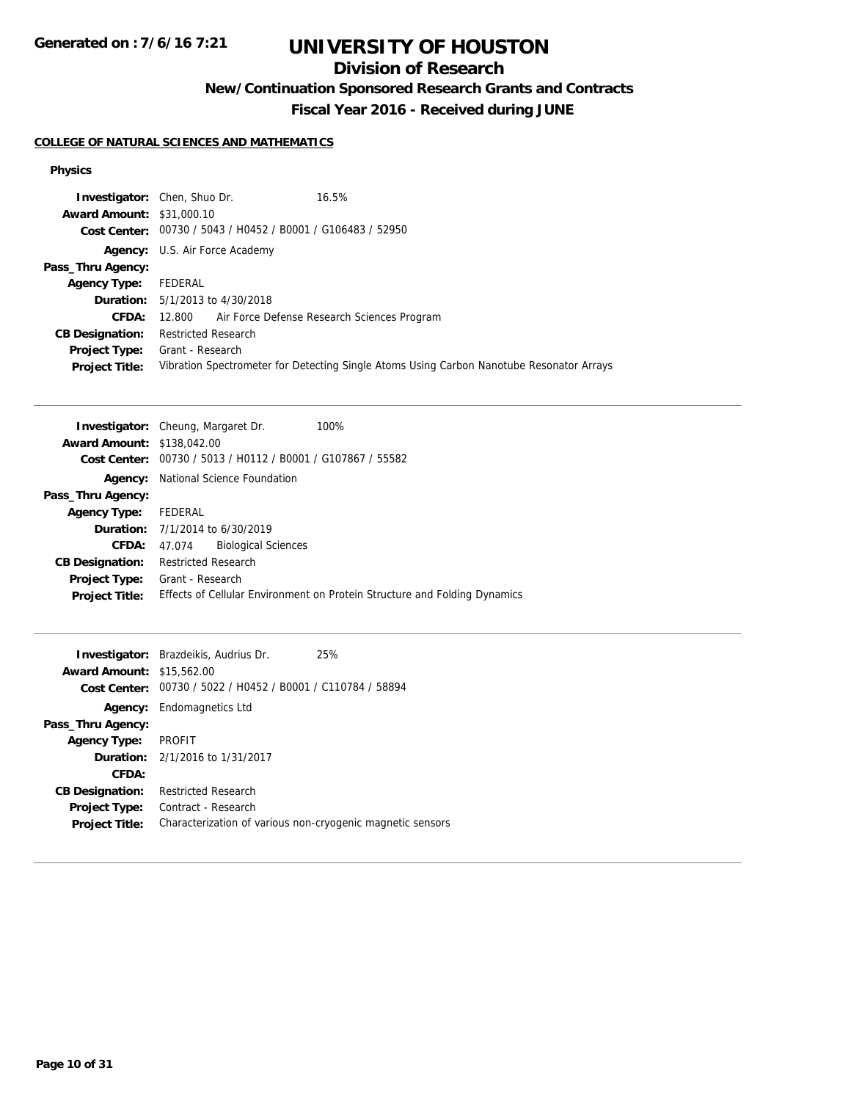**Generated on : 7/6/16 7:21**

# **UNIVERSITY OF HOUSTON**

## **Division of Research**

**New/Continuation Sponsored Research Grants and Contracts**

**Fiscal Year 2016 - Received during JUNE**

### **COLLEGE OF NATURAL SCIENCES AND MATHEMATICS**

### **Physics**

|                                  | <b>Investigator:</b> Chen, Shuo Dr.                                                      | 16.5% |  |
|----------------------------------|------------------------------------------------------------------------------------------|-------|--|
| <b>Award Amount: \$31,000.10</b> |                                                                                          |       |  |
|                                  | Cost Center: 00730 / 5043 / H0452 / B0001 / G106483 / 52950                              |       |  |
|                                  | <b>Agency:</b> U.S. Air Force Academy                                                    |       |  |
| Pass_Thru Agency:                |                                                                                          |       |  |
| <b>Agency Type:</b>              | FEDERAL                                                                                  |       |  |
|                                  | <b>Duration:</b> 5/1/2013 to 4/30/2018                                                   |       |  |
| <b>CFDA:</b>                     | 12.800 Air Force Defense Research Sciences Program                                       |       |  |
| <b>CB Designation:</b>           | <b>Restricted Research</b>                                                               |       |  |
| <b>Project Type:</b>             | Grant - Research                                                                         |       |  |
| <b>Project Title:</b>            | Vibration Spectrometer for Detecting Single Atoms Using Carbon Nanotube Resonator Arrays |       |  |

|                                   | <b>Investigator:</b> Cheung, Margaret Dr.      | 100%                                                                      |
|-----------------------------------|------------------------------------------------|---------------------------------------------------------------------------|
| <b>Award Amount: \$138,042.00</b> |                                                |                                                                           |
| <b>Cost Center:</b>               | 00730 / 5013 / H0112 / B0001 / G107867 / 55582 |                                                                           |
| Agency:                           | National Science Foundation                    |                                                                           |
| Pass_Thru Agency:                 |                                                |                                                                           |
| <b>Agency Type:</b>               | FEDERAL                                        |                                                                           |
|                                   | <b>Duration:</b> 7/1/2014 to 6/30/2019         |                                                                           |
| CFDA:                             | <b>Biological Sciences</b><br>47.074           |                                                                           |
| <b>CB Designation:</b>            | <b>Restricted Research</b>                     |                                                                           |
| Project Type:                     | Grant - Research                               |                                                                           |
| <b>Project Title:</b>             |                                                | Effects of Cellular Environment on Protein Structure and Folding Dynamics |
|                                   |                                                |                                                                           |

|                                  | <b>Investigator:</b> Brazdeikis, Audrius Dr.                | 25% |
|----------------------------------|-------------------------------------------------------------|-----|
| <b>Award Amount: \$15,562.00</b> |                                                             |     |
|                                  | Cost Center: 00730 / 5022 / H0452 / B0001 / C110784 / 58894 |     |
| Agency:                          | Endomagnetics Ltd                                           |     |
| Pass_Thru Agency:                |                                                             |     |
| <b>Agency Type:</b>              | PROFIT                                                      |     |
|                                  | <b>Duration:</b> 2/1/2016 to 1/31/2017                      |     |
| CFDA:                            |                                                             |     |
| <b>CB Designation:</b>           | <b>Restricted Research</b>                                  |     |
| <b>Project Type:</b>             | Contract - Research                                         |     |
| <b>Project Title:</b>            | Characterization of various non-cryogenic magnetic sensors  |     |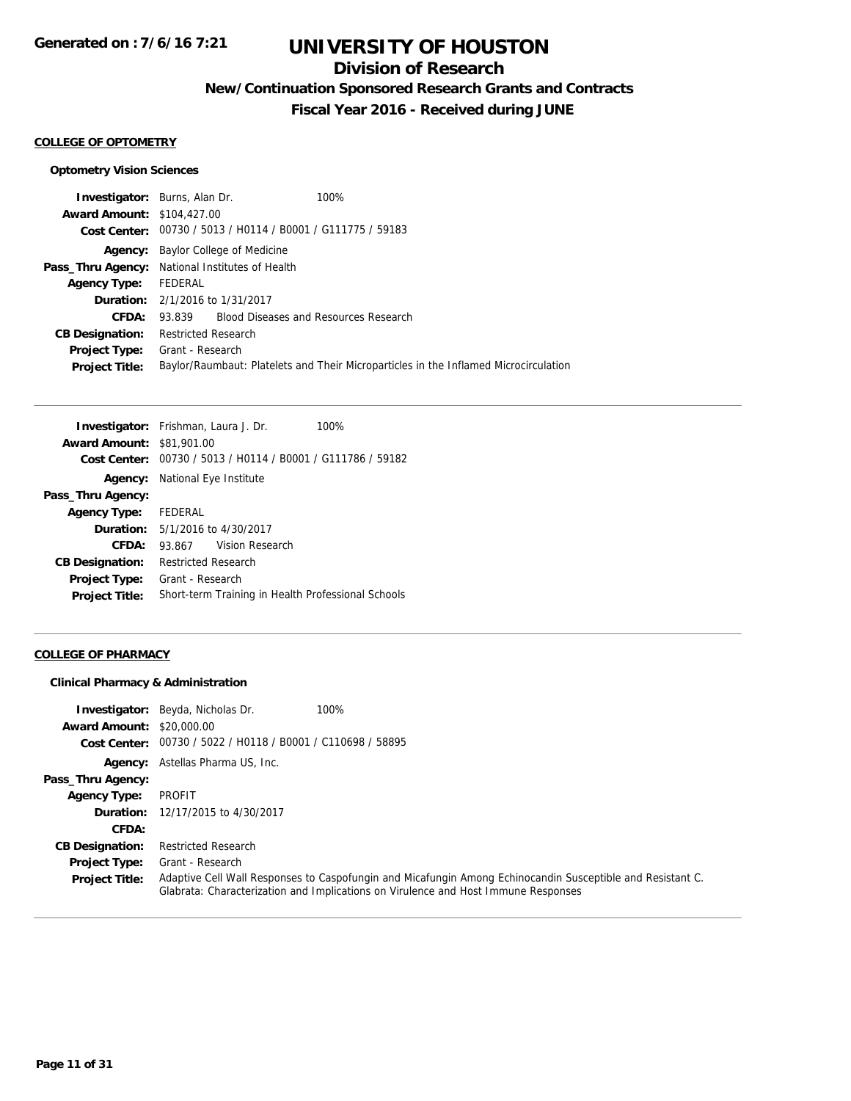## **Division of Research**

**New/Continuation Sponsored Research Grants and Contracts**

**Fiscal Year 2016 - Received during JUNE**

#### **COLLEGE OF OPTOMETRY**

### **Optometry Vision Sciences**

| <b>Investigator:</b> Burns, Alan Dr.                                                 | 100%                                         |  |
|--------------------------------------------------------------------------------------|----------------------------------------------|--|
| <b>Award Amount: \$104,427.00</b>                                                    |                                              |  |
| Cost Center: 00730 / 5013 / H0114 / B0001 / G111775 / 59183                          |                                              |  |
| <b>Agency:</b> Baylor College of Medicine                                            |                                              |  |
| Pass_Thru Agency: National Institutes of Health                                      |                                              |  |
| Agency Type: FEDERAL                                                                 |                                              |  |
| <b>Duration:</b> 2/1/2016 to 1/31/2017                                               |                                              |  |
|                                                                                      |                                              |  |
| Restricted Research                                                                  |                                              |  |
| Grant - Research                                                                     |                                              |  |
| Baylor/Raumbaut: Platelets and Their Microparticles in the Inflamed Microcirculation |                                              |  |
|                                                                                      | 93.839 Blood Diseases and Resources Research |  |

|                                  | <b>Investigator:</b> Frishman, Laura J. Dr.        | 100% |  |
|----------------------------------|----------------------------------------------------|------|--|
| <b>Award Amount: \$81,901.00</b> |                                                    |      |  |
| <b>Cost Center:</b>              | 00730 / 5013 / H0114 / B0001 / G111786 / 59182     |      |  |
| Agency:                          | National Eye Institute                             |      |  |
| Pass_Thru Agency:                |                                                    |      |  |
| Agency Type: FEDERAL             |                                                    |      |  |
|                                  | <b>Duration:</b> 5/1/2016 to 4/30/2017             |      |  |
| CFDA:                            | 93.867 Vision Research                             |      |  |
| <b>CB Designation:</b>           | <b>Restricted Research</b>                         |      |  |
| <b>Project Type:</b>             | Grant - Research                                   |      |  |
| <b>Project Title:</b>            | Short-term Training in Health Professional Schools |      |  |

### **COLLEGE OF PHARMACY**

### **Clinical Pharmacy & Administration**

| <b>Award Amount: \$20,000.00</b> | 100%<br><b>Investigator:</b> Beyda, Nicholas Dr.                                                                                                                                                 |
|----------------------------------|--------------------------------------------------------------------------------------------------------------------------------------------------------------------------------------------------|
|                                  | Cost Center: 00730 / 5022 / H0118 / B0001 / C110698 / 58895                                                                                                                                      |
|                                  | <b>Agency:</b> Astellas Pharma US, Inc.                                                                                                                                                          |
| Pass_Thru Agency:                |                                                                                                                                                                                                  |
| <b>Agency Type:</b>              | PROFIT                                                                                                                                                                                           |
|                                  | <b>Duration:</b> 12/17/2015 to 4/30/2017                                                                                                                                                         |
| CFDA:                            |                                                                                                                                                                                                  |
| <b>CB Designation:</b>           | <b>Restricted Research</b>                                                                                                                                                                       |
| <b>Project Type:</b>             | Grant - Research                                                                                                                                                                                 |
| <b>Project Title:</b>            | Adaptive Cell Wall Responses to Caspofungin and Micafungin Among Echinocandin Susceptible and Resistant C.<br>Glabrata: Characterization and Implications on Virulence and Host Immune Responses |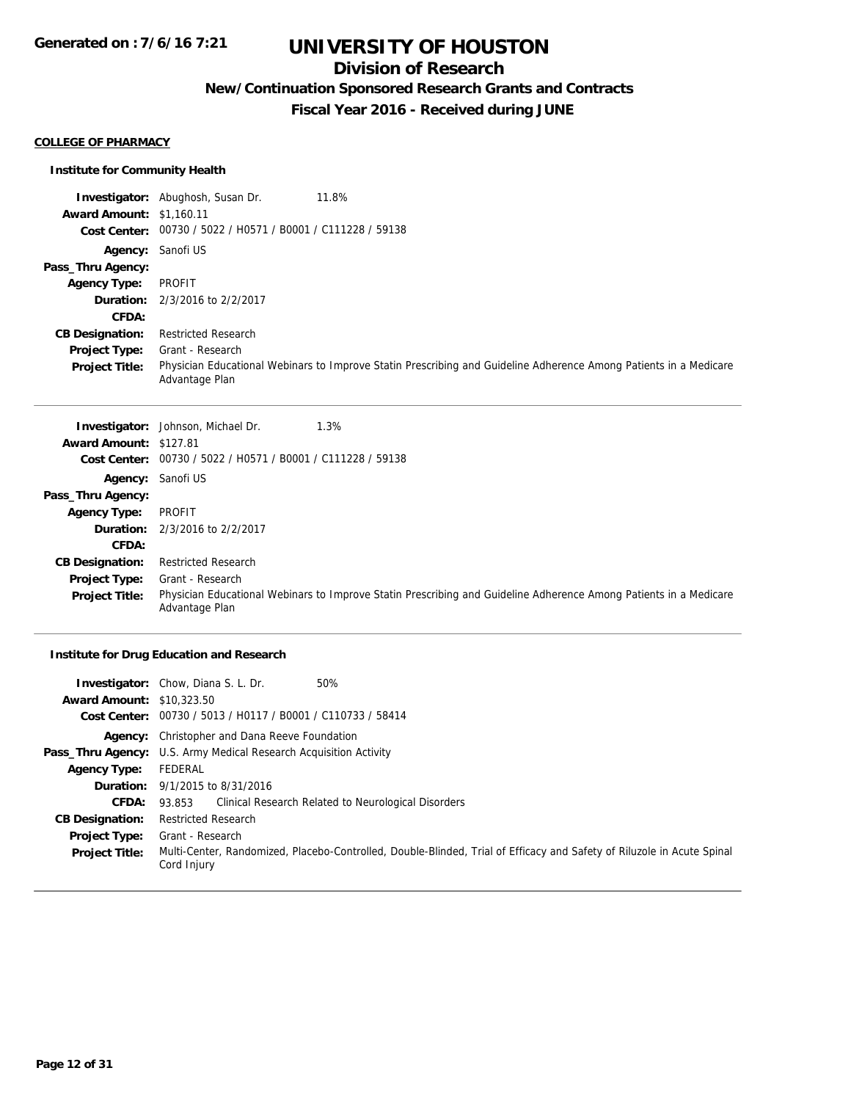## **Division of Research**

**New/Continuation Sponsored Research Grants and Contracts**

**Fiscal Year 2016 - Received during JUNE**

#### **COLLEGE OF PHARMACY**

### **Institute for Community Health**

|                                 | 11.8%<br><b>Investigator:</b> Abughosh, Susan Dr.                                                                                   |
|---------------------------------|-------------------------------------------------------------------------------------------------------------------------------------|
| <b>Award Amount: \$1,160.11</b> |                                                                                                                                     |
|                                 | Cost Center: 00730 / 5022 / H0571 / B0001 / C111228 / 59138                                                                         |
|                                 | <b>Agency:</b> Sanofi US                                                                                                            |
| Pass_Thru Agency:               |                                                                                                                                     |
| <b>Agency Type:</b>             | PROFIT                                                                                                                              |
|                                 | <b>Duration:</b> 2/3/2016 to 2/2/2017                                                                                               |
| CFDA:                           |                                                                                                                                     |
| <b>CB Designation:</b>          | <b>Restricted Research</b>                                                                                                          |
| <b>Project Type:</b>            | Grant - Research                                                                                                                    |
| <b>Project Title:</b>           | Physician Educational Webinars to Improve Statin Prescribing and Guideline Adherence Among Patients in a Medicare<br>Advantage Plan |

|                        | <b>Investigator:</b> Johnson, Michael Dr.<br>1.3%                                                                                   |
|------------------------|-------------------------------------------------------------------------------------------------------------------------------------|
| Award Amount: \$127.81 |                                                                                                                                     |
| <b>Cost Center:</b>    | 00730 / 5022 / H0571 / B0001 / C111228 / 59138                                                                                      |
|                        | <b>Agency:</b> Sanofi US                                                                                                            |
| Pass_Thru Agency:      |                                                                                                                                     |
| <b>Agency Type:</b>    | PROFIT                                                                                                                              |
|                        | <b>Duration:</b> 2/3/2016 to 2/2/2017                                                                                               |
| CFDA:                  |                                                                                                                                     |
| <b>CB Designation:</b> | <b>Restricted Research</b>                                                                                                          |
| <b>Project Type:</b>   | Grant - Research                                                                                                                    |
| <b>Project Title:</b>  | Physician Educational Webinars to Improve Statin Prescribing and Guideline Adherence Among Patients in a Medicare<br>Advantage Plan |

### **Institute for Drug Education and Research**

| <b>Award Amount: \$10,323.50</b> | 50%<br><b>Investigator:</b> Chow, Diana S. L. Dr.<br>Cost Center: 00730 / 5013 / H0117 / B0001 / C110733 / 58414                      |  |  |
|----------------------------------|---------------------------------------------------------------------------------------------------------------------------------------|--|--|
|                                  | <b>Agency:</b> Christopher and Dana Reeve Foundation                                                                                  |  |  |
|                                  | <b>Pass_Thru Agency:</b> U.S. Army Medical Research Acquisition Activity                                                              |  |  |
| <b>Agency Type:</b>              | FEDERAL                                                                                                                               |  |  |
|                                  | <b>Duration:</b> $9/1/2015$ to $8/31/2016$                                                                                            |  |  |
| <b>CFDA:</b>                     | Clinical Research Related to Neurological Disorders<br>93.853                                                                         |  |  |
| <b>CB Designation:</b>           | Restricted Research                                                                                                                   |  |  |
| <b>Project Type:</b>             | Grant - Research                                                                                                                      |  |  |
| <b>Project Title:</b>            | Multi-Center, Randomized, Placebo-Controlled, Double-Blinded, Trial of Efficacy and Safety of Riluzole in Acute Spinal<br>Cord Injury |  |  |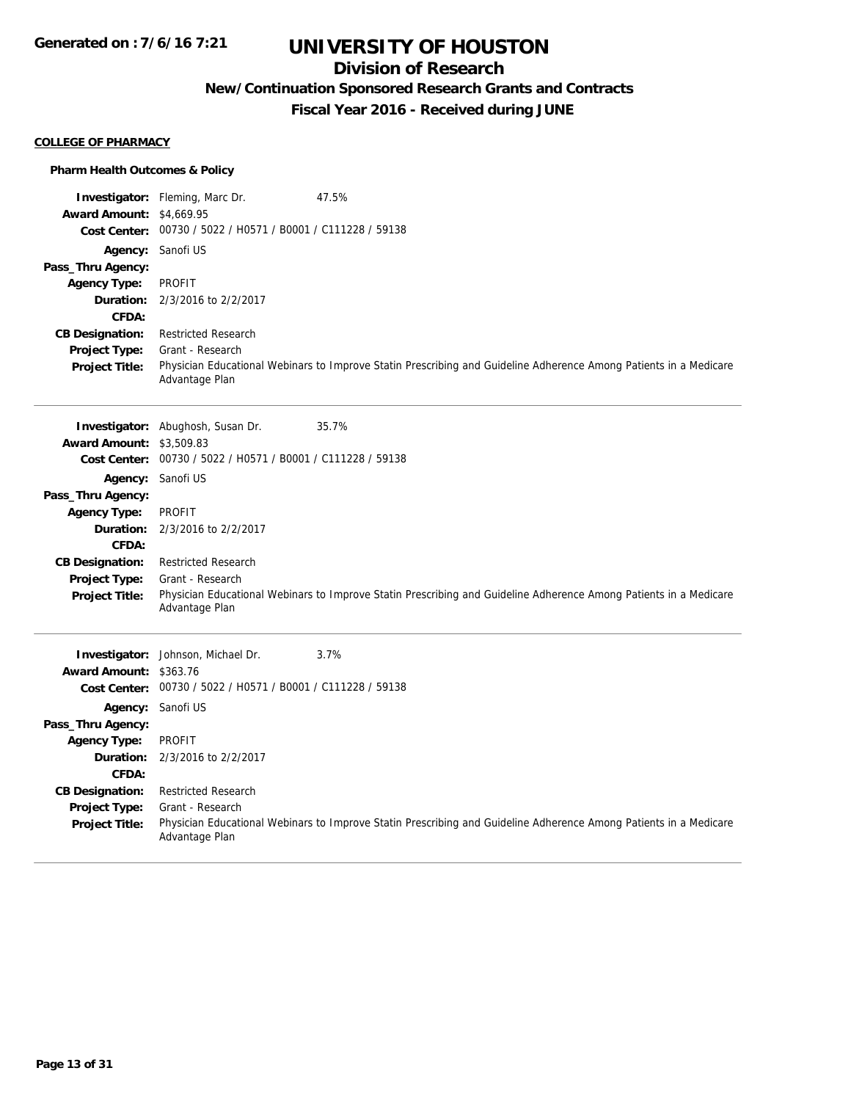## **Division of Research**

## **New/Continuation Sponsored Research Grants and Contracts**

**Fiscal Year 2016 - Received during JUNE**

#### **COLLEGE OF PHARMACY**

### **Pharm Health Outcomes & Policy**

| <b>Award Amount: \$4,669.95</b> | <b>Investigator:</b> Fleming, Marc Dr.                      | 47.5%                                                                                                             |
|---------------------------------|-------------------------------------------------------------|-------------------------------------------------------------------------------------------------------------------|
|                                 | Cost Center: 00730 / 5022 / H0571 / B0001 / C111228 / 59138 |                                                                                                                   |
|                                 | Agency: Sanofi US                                           |                                                                                                                   |
| Pass_Thru Agency:               |                                                             |                                                                                                                   |
| <b>Agency Type:</b>             | <b>PROFIT</b>                                               |                                                                                                                   |
| Duration:                       | 2/3/2016 to 2/2/2017                                        |                                                                                                                   |
| <b>CFDA:</b>                    |                                                             |                                                                                                                   |
| <b>CB Designation:</b>          | <b>Restricted Research</b>                                  |                                                                                                                   |
| <b>Project Type:</b>            | Grant - Research                                            |                                                                                                                   |
| <b>Project Title:</b>           | Advantage Plan                                              | Physician Educational Webinars to Improve Statin Prescribing and Guideline Adherence Among Patients in a Medicare |
|                                 | Investigator: Abughosh, Susan Dr.                           | 35.7%                                                                                                             |
| <b>Award Amount: \$3,509.83</b> |                                                             |                                                                                                                   |
| <b>Cost Center:</b>             | 00730 / 5022 / H0571 / B0001 / C111228 / 59138              |                                                                                                                   |
| Agency:                         | Sanofi US                                                   |                                                                                                                   |
| Pass_Thru Agency:               |                                                             |                                                                                                                   |
| <b>Agency Type:</b>             | <b>PROFIT</b>                                               |                                                                                                                   |
| Duration:                       | 2/3/2016 to 2/2/2017                                        |                                                                                                                   |
| CFDA:                           |                                                             |                                                                                                                   |
| <b>CB Designation:</b>          | <b>Restricted Research</b>                                  |                                                                                                                   |
| Project Type:                   | Grant - Research                                            |                                                                                                                   |
| <b>Project Title:</b>           | Advantage Plan                                              | Physician Educational Webinars to Improve Statin Prescribing and Guideline Adherence Among Patients in a Medicare |
|                                 | Investigator: Johnson, Michael Dr.                          | 3.7%                                                                                                              |
| Award Amount: \$363.76          |                                                             |                                                                                                                   |
|                                 | Cost Center: 00730 / 5022 / H0571 / B0001 / C111228 / 59138 |                                                                                                                   |
|                                 | Agency: Sanofi US                                           |                                                                                                                   |
| Pass_Thru Agency:               |                                                             |                                                                                                                   |
| <b>Agency Type:</b>             | <b>PROFIT</b>                                               |                                                                                                                   |
| Duration:                       | 2/3/2016 to 2/2/2017                                        |                                                                                                                   |
| CFDA:                           |                                                             |                                                                                                                   |
| <b>CB Designation:</b>          | <b>Restricted Research</b>                                  |                                                                                                                   |
| Project Type:                   | Grant - Research                                            |                                                                                                                   |
| <b>Project Title:</b>           | Advantage Plan                                              | Physician Educational Webinars to Improve Statin Prescribing and Guideline Adherence Among Patients in a Medicare |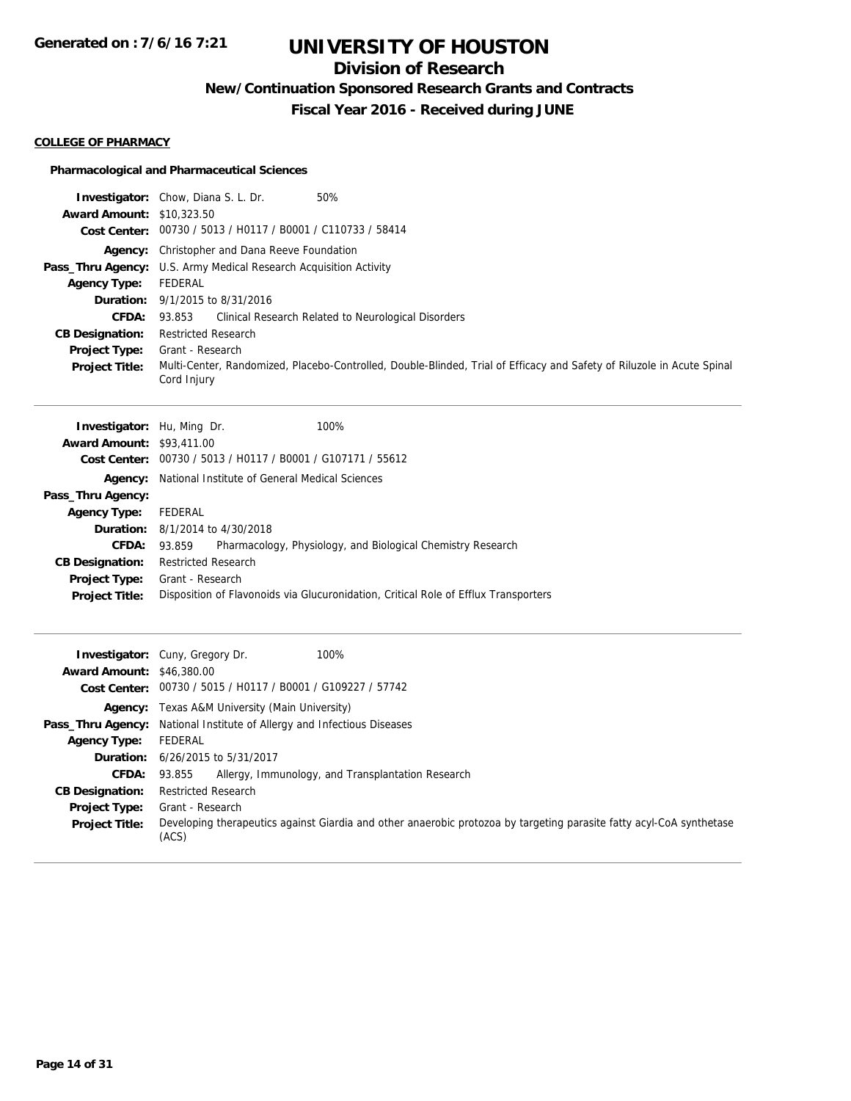## **Division of Research**

**New/Continuation Sponsored Research Grants and Contracts**

**Fiscal Year 2016 - Received during JUNE**

#### **COLLEGE OF PHARMACY**

### **Pharmacological and Pharmaceutical Sciences**

| <b>Award Amount: \$10,323.50</b> | <b>Investigator:</b> Chow, Diana S. L. Dr.<br>50%                                                                                     |  |  |
|----------------------------------|---------------------------------------------------------------------------------------------------------------------------------------|--|--|
|                                  | Cost Center: 00730 / 5013 / H0117 / B0001 / C110733 / 58414                                                                           |  |  |
| Agency:                          | Christopher and Dana Reeve Foundation                                                                                                 |  |  |
| Pass_Thru Agency:                | U.S. Army Medical Research Acquisition Activity                                                                                       |  |  |
| <b>Agency Type:</b>              | <b>FEDERAL</b>                                                                                                                        |  |  |
| Duration:                        | 9/1/2015 to 8/31/2016                                                                                                                 |  |  |
| CFDA:                            | Clinical Research Related to Neurological Disorders<br>93.853                                                                         |  |  |
| <b>CB Designation:</b>           | <b>Restricted Research</b>                                                                                                            |  |  |
| Project Type:                    | Grant - Research                                                                                                                      |  |  |
| <b>Project Title:</b>            | Multi-Center, Randomized, Placebo-Controlled, Double-Blinded, Trial of Efficacy and Safety of Riluzole in Acute Spinal<br>Cord Injury |  |  |
| Investigator: Hu, Ming Dr.       | 100%                                                                                                                                  |  |  |
| <b>Award Amount: \$93,411.00</b> |                                                                                                                                       |  |  |
| <b>Cost Center:</b>              | 00730 / 5013 / H0117 / B0001 / G107171 / 55612                                                                                        |  |  |
| Agency:                          | National Institute of General Medical Sciences                                                                                        |  |  |
| Pass_Thru Agency:                |                                                                                                                                       |  |  |
| <b>Agency Type:</b>              | <b>FEDERAL</b>                                                                                                                        |  |  |
| Duration:                        | 8/1/2014 to 4/30/2018                                                                                                                 |  |  |
| <b>CFDA:</b>                     | 93.859<br>Pharmacology, Physiology, and Biological Chemistry Research                                                                 |  |  |
| <b>CB Designation:</b>           | <b>Restricted Research</b>                                                                                                            |  |  |
| <b>Project Type:</b>             | Grant - Research                                                                                                                      |  |  |
| <b>Project Title:</b>            | Disposition of Flavonoids via Glucuronidation, Critical Role of Efflux Transporters                                                   |  |  |
| <b>Award Amount: \$46,380.00</b> | Investigator: Cuny, Gregory Dr.<br>100%                                                                                               |  |  |
|                                  | Cost Center: 00730 / 5015 / H0117 / B0001 / G109227 / 57742                                                                           |  |  |
|                                  | Texas A&M University (Main University)                                                                                                |  |  |
| Agency:<br>Pass_Thru Agency:     | National Institute of Allergy and Infectious Diseases                                                                                 |  |  |
| <b>Agency Type:</b>              | <b>FEDERAL</b>                                                                                                                        |  |  |
| Duration:                        | 6/26/2015 to 5/31/2017                                                                                                                |  |  |
| <b>CFDA:</b>                     | 93.855<br>Allergy, Immunology, and Transplantation Research                                                                           |  |  |
| <b>CB Designation:</b>           | Restricted Research                                                                                                                   |  |  |
| <b>Project Type:</b>             | Grant - Research                                                                                                                      |  |  |
| <b>Project Title:</b>            | Developing therapeutics against Giardia and other anaerobic protozoa by targeting parasite fatty acyl-CoA synthetase<br>(ACS)         |  |  |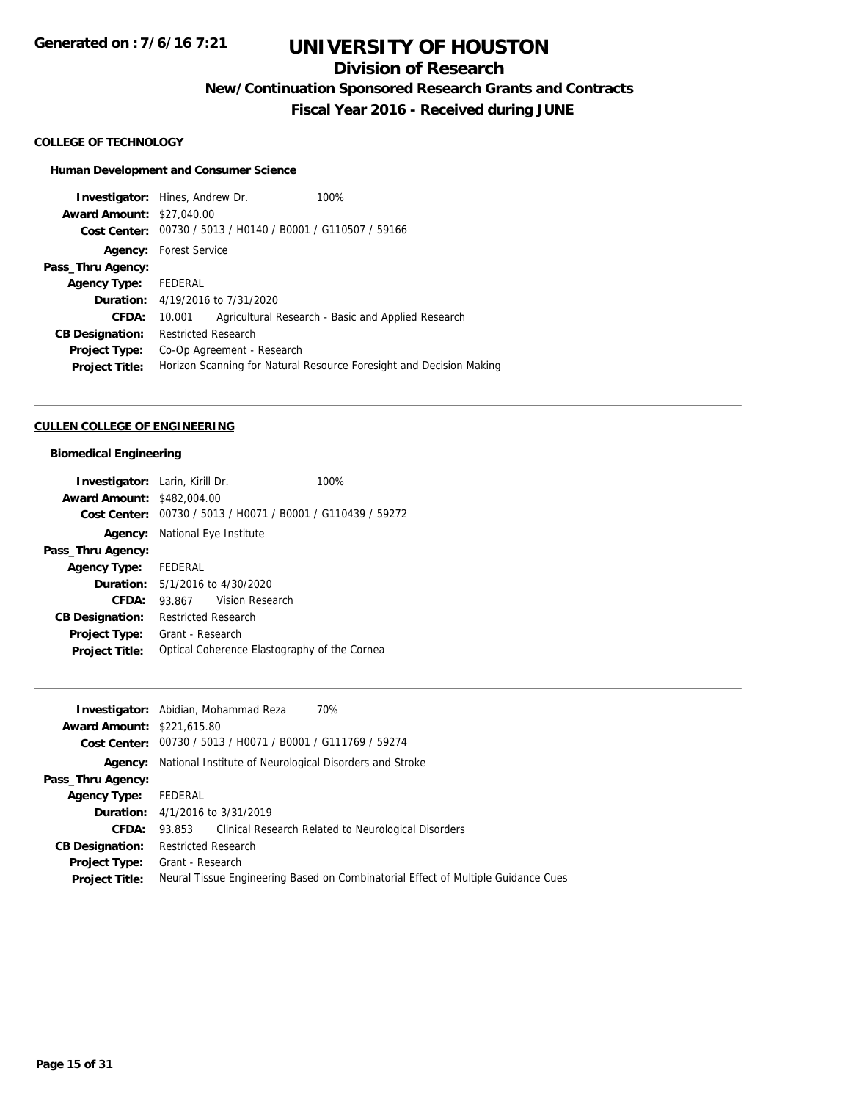## **Division of Research**

**New/Continuation Sponsored Research Grants and Contracts**

**Fiscal Year 2016 - Received during JUNE**

#### **COLLEGE OF TECHNOLOGY**

### **Human Development and Consumer Science**

|                                  | <b>Investigator:</b> Hines, Andrew Dr.         | 100%                                                                |
|----------------------------------|------------------------------------------------|---------------------------------------------------------------------|
| <b>Award Amount: \$27,040.00</b> |                                                |                                                                     |
| Cost Center:                     | 00730 / 5013 / H0140 / B0001 / G110507 / 59166 |                                                                     |
|                                  | <b>Agency:</b> Forest Service                  |                                                                     |
| Pass_Thru Agency:                |                                                |                                                                     |
| <b>Agency Type:</b>              | FEDERAL                                        |                                                                     |
|                                  | <b>Duration:</b> 4/19/2016 to 7/31/2020        |                                                                     |
| CFDA:                            | 10.001                                         | Agricultural Research - Basic and Applied Research                  |
| <b>CB Designation:</b>           | <b>Restricted Research</b>                     |                                                                     |
| <b>Project Type:</b>             | Co-Op Agreement - Research                     |                                                                     |
| <b>Project Title:</b>            |                                                | Horizon Scanning for Natural Resource Foresight and Decision Making |
|                                  |                                                |                                                                     |

#### **CULLEN COLLEGE OF ENGINEERING**

### **Biomedical Engineering**

| <b>Investigator:</b> Larin, Kirill Dr. |                                                             | 100% |  |
|----------------------------------------|-------------------------------------------------------------|------|--|
| <b>Award Amount: \$482,004.00</b>      |                                                             |      |  |
|                                        | Cost Center: 00730 / 5013 / H0071 / B0001 / G110439 / 59272 |      |  |
|                                        | <b>Agency:</b> National Eye Institute                       |      |  |
| Pass_Thru Agency:                      |                                                             |      |  |
| <b>Agency Type:</b> FEDERAL            |                                                             |      |  |
|                                        | <b>Duration:</b> $5/1/2016$ to $4/30/2020$                  |      |  |
| CFDA:                                  | Vision Research<br>93.867                                   |      |  |
| <b>CB Designation:</b>                 | <b>Restricted Research</b>                                  |      |  |
| <b>Project Type:</b>                   | Grant - Research                                            |      |  |
| <b>Project Title:</b>                  | Optical Coherence Elastography of the Cornea                |      |  |

|                                   | 70%<br><b>Investigator:</b> Abidian, Mohammad Reza                                |
|-----------------------------------|-----------------------------------------------------------------------------------|
| <b>Award Amount: \$221,615.80</b> |                                                                                   |
|                                   | Cost Center: 00730 / 5013 / H0071 / B0001 / G111769 / 59274                       |
| Agency:                           | National Institute of Neurological Disorders and Stroke                           |
| Pass_Thru Agency:                 |                                                                                   |
| <b>Agency Type:</b>               | FEDERAL                                                                           |
|                                   | <b>Duration:</b> $4/1/2016$ to $3/31/2019$                                        |
| <b>CFDA:</b>                      | Clinical Research Related to Neurological Disorders<br>93.853                     |
| <b>CB Designation:</b>            | <b>Restricted Research</b>                                                        |
| <b>Project Type:</b>              | Grant - Research                                                                  |
| <b>Project Title:</b>             | Neural Tissue Engineering Based on Combinatorial Effect of Multiple Guidance Cues |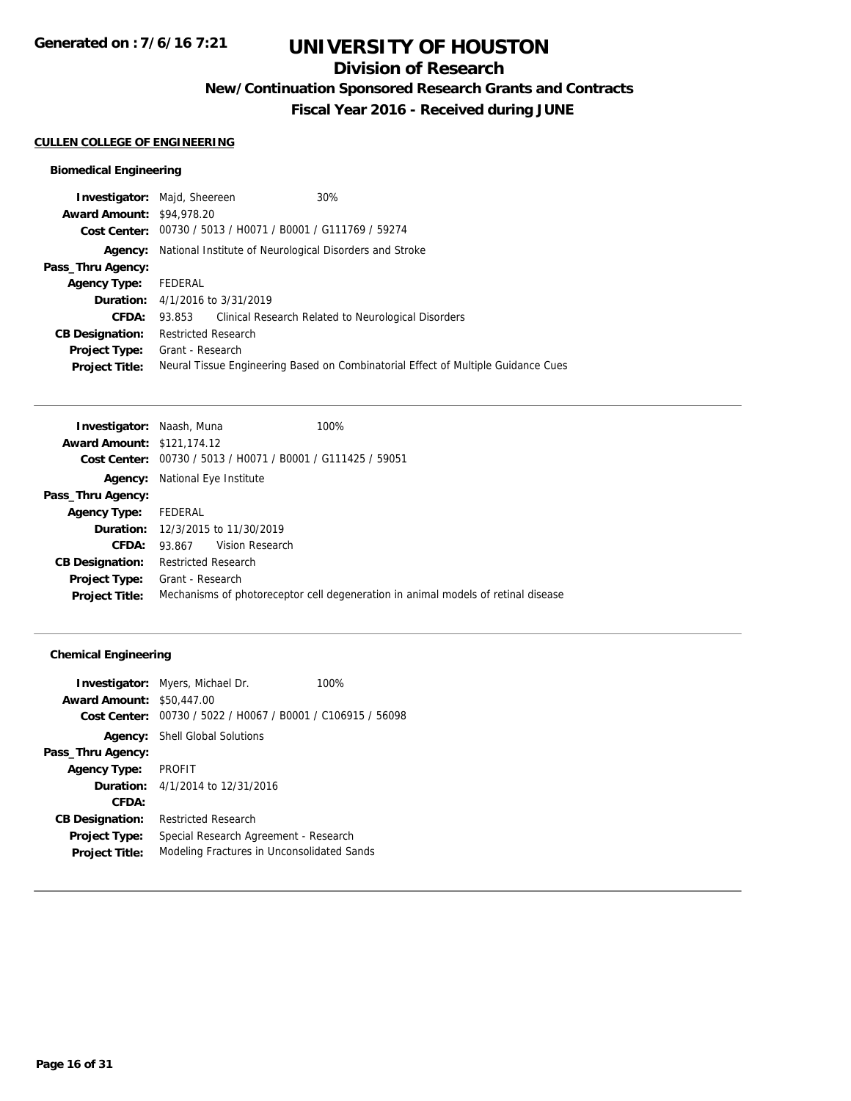## **Division of Research**

**New/Continuation Sponsored Research Grants and Contracts**

**Fiscal Year 2016 - Received during JUNE**

### **CULLEN COLLEGE OF ENGINEERING**

### **Biomedical Engineering**

|                                  | <b>Investigator:</b> Majd, Sheereen    | 30%                                                                               |
|----------------------------------|----------------------------------------|-----------------------------------------------------------------------------------|
| <b>Award Amount: \$94,978.20</b> |                                        |                                                                                   |
|                                  |                                        | Cost Center: 00730 / 5013 / H0071 / B0001 / G111769 / 59274                       |
| Agency:                          |                                        | National Institute of Neurological Disorders and Stroke                           |
| Pass_Thru Agency:                |                                        |                                                                                   |
| <b>Agency Type:</b>              | FEDERAL                                |                                                                                   |
|                                  | <b>Duration:</b> 4/1/2016 to 3/31/2019 |                                                                                   |
| CFDA:                            |                                        | 93.853 Clinical Research Related to Neurological Disorders                        |
| <b>CB Designation:</b>           | <b>Restricted Research</b>             |                                                                                   |
| <b>Project Type:</b>             | Grant - Research                       |                                                                                   |
| <b>Project Title:</b>            |                                        | Neural Tissue Engineering Based on Combinatorial Effect of Multiple Guidance Cues |
|                                  |                                        |                                                                                   |

| <b>Investigator: Naash, Muna</b>  |                                                | 100%                                                                              |
|-----------------------------------|------------------------------------------------|-----------------------------------------------------------------------------------|
| <b>Award Amount: \$121,174.12</b> |                                                |                                                                                   |
| Cost Center:                      | 00730 / 5013 / H0071 / B0001 / G111425 / 59051 |                                                                                   |
| Agency:                           | National Eye Institute                         |                                                                                   |
| Pass_Thru Agency:                 |                                                |                                                                                   |
| <b>Agency Type:</b>               | FEDERAL                                        |                                                                                   |
|                                   | <b>Duration:</b> 12/3/2015 to 11/30/2019       |                                                                                   |
| CFDA:                             | Vision Research<br>93.867                      |                                                                                   |
| <b>CB Designation:</b>            | <b>Restricted Research</b>                     |                                                                                   |
| <b>Project Type:</b>              | Grant - Research                               |                                                                                   |
| <b>Project Title:</b>             |                                                | Mechanisms of photoreceptor cell degeneration in animal models of retinal disease |
|                                   |                                                |                                                                                   |

### **Chemical Engineering**

|                                  | <b>Investigator:</b> Myers, Michael Dr.                     | 100% |  |
|----------------------------------|-------------------------------------------------------------|------|--|
| <b>Award Amount: \$50,447.00</b> |                                                             |      |  |
|                                  | Cost Center: 00730 / 5022 / H0067 / B0001 / C106915 / 56098 |      |  |
|                                  | <b>Agency:</b> Shell Global Solutions                       |      |  |
| Pass_Thru Agency:                |                                                             |      |  |
| Agency Type:                     | <b>PROFIT</b>                                               |      |  |
|                                  | <b>Duration:</b> $4/1/2014$ to $12/31/2016$                 |      |  |
| CFDA:                            |                                                             |      |  |
| <b>CB Designation:</b>           | <b>Restricted Research</b>                                  |      |  |
| <b>Project Type:</b>             | Special Research Agreement - Research                       |      |  |
| <b>Project Title:</b>            | Modeling Fractures in Unconsolidated Sands                  |      |  |
|                                  |                                                             |      |  |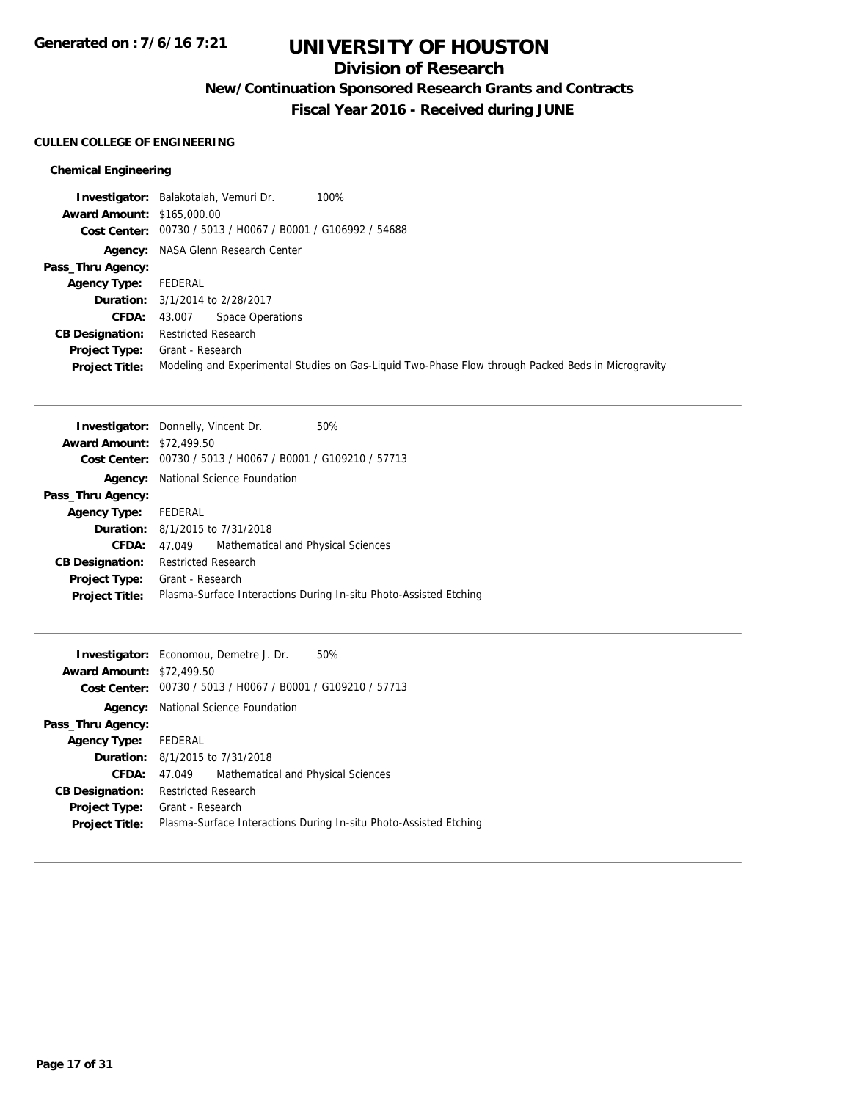## **Division of Research**

**New/Continuation Sponsored Research Grants and Contracts**

**Fiscal Year 2016 - Received during JUNE**

#### **CULLEN COLLEGE OF ENGINEERING**

### **Chemical Engineering**

|                                   | 100%<br>Investigator: Balakotaiah, Vemuri Dr.                                                      |
|-----------------------------------|----------------------------------------------------------------------------------------------------|
| <b>Award Amount: \$165,000.00</b> |                                                                                                    |
|                                   | Cost Center: 00730 / 5013 / H0067 / B0001 / G106992 / 54688                                        |
|                                   | <b>Agency:</b> NASA Glenn Research Center                                                          |
| Pass_Thru Agency:                 |                                                                                                    |
| <b>Agency Type:</b>               | FEDERAL                                                                                            |
|                                   | <b>Duration:</b> 3/1/2014 to 2/28/2017                                                             |
| <b>CFDA:</b>                      | <b>Space Operations</b><br>43.007                                                                  |
| <b>CB Designation:</b>            | <b>Restricted Research</b>                                                                         |
| <b>Project Type:</b>              | Grant - Research                                                                                   |
| <b>Project Title:</b>             | Modeling and Experimental Studies on Gas-Liquid Two-Phase Flow through Packed Beds in Microgravity |

|                                  | <b>Investigator:</b> Donnelly, Vincent Dr.<br>50%                 |  |  |
|----------------------------------|-------------------------------------------------------------------|--|--|
| <b>Award Amount: \$72,499.50</b> |                                                                   |  |  |
| Cost Center:                     | 00730 / 5013 / H0067 / B0001 / G109210 / 57713                    |  |  |
|                                  | <b>Agency:</b> National Science Foundation                        |  |  |
| Pass_Thru Agency:                |                                                                   |  |  |
| <b>Agency Type:</b>              | FEDERAL                                                           |  |  |
|                                  | <b>Duration:</b> 8/1/2015 to 7/31/2018                            |  |  |
| CFDA:                            | Mathematical and Physical Sciences<br>47.049                      |  |  |
| <b>CB Designation:</b>           | <b>Restricted Research</b>                                        |  |  |
| <b>Project Type:</b>             | Grant - Research                                                  |  |  |
| <b>Project Title:</b>            | Plasma-Surface Interactions During In-situ Photo-Assisted Etching |  |  |

| 50%<br><b>Investigator:</b> Economou, Demetre J. Dr.              |  |  |
|-------------------------------------------------------------------|--|--|
| <b>Award Amount: \$72,499.50</b>                                  |  |  |
| Cost Center: 00730 / 5013 / H0067 / B0001 / G109210 / 57713       |  |  |
| <b>Agency:</b> National Science Foundation                        |  |  |
|                                                                   |  |  |
| Agency Type: FEDERAL                                              |  |  |
| <b>Duration:</b> 8/1/2015 to 7/31/2018                            |  |  |
| Mathematical and Physical Sciences<br>47.049                      |  |  |
| <b>Restricted Research</b>                                        |  |  |
| Grant - Research                                                  |  |  |
| Plasma-Surface Interactions During In-situ Photo-Assisted Etching |  |  |
|                                                                   |  |  |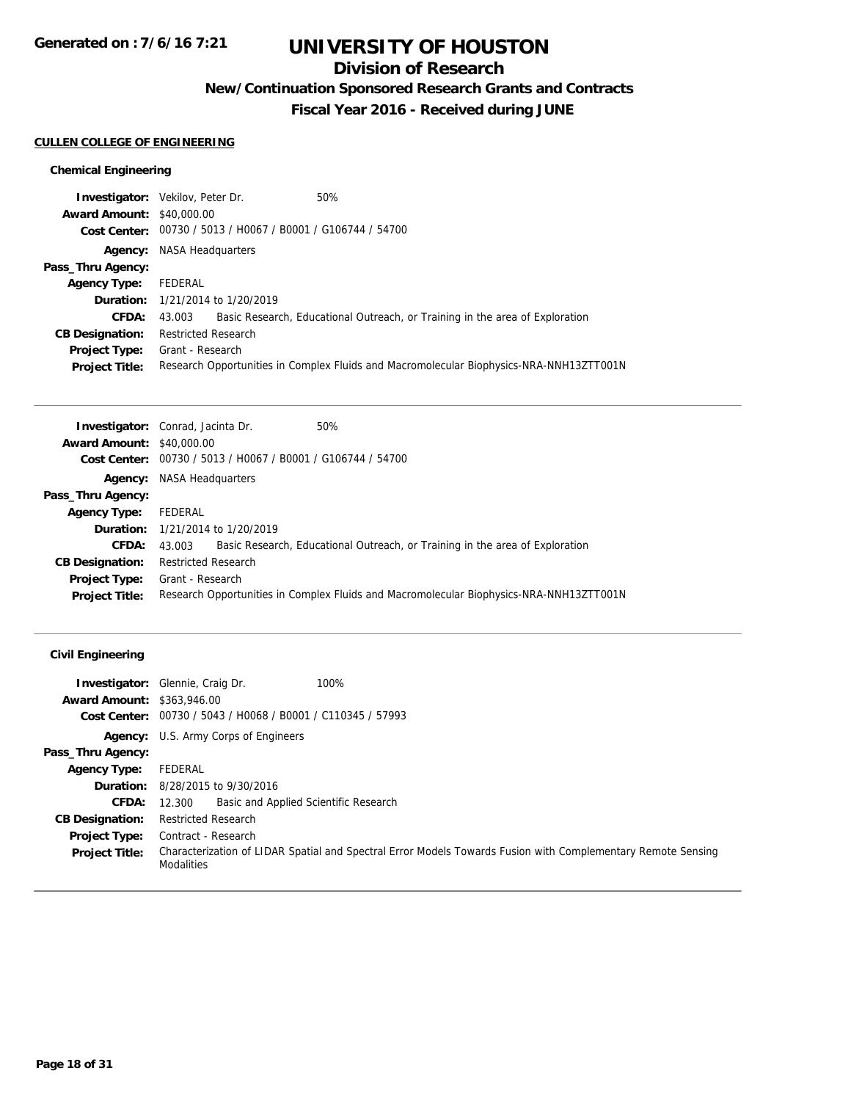## **Division of Research**

**New/Continuation Sponsored Research Grants and Contracts**

**Fiscal Year 2016 - Received during JUNE**

### **CULLEN COLLEGE OF ENGINEERING**

### **Chemical Engineering**

|                                  | <b>Investigator:</b> Vekilov, Peter Dr.                     | 50%                                                                                     |
|----------------------------------|-------------------------------------------------------------|-----------------------------------------------------------------------------------------|
| <b>Award Amount: \$40,000.00</b> |                                                             |                                                                                         |
|                                  | Cost Center: 00730 / 5013 / H0067 / B0001 / G106744 / 54700 |                                                                                         |
|                                  | <b>Agency:</b> NASA Headquarters                            |                                                                                         |
| Pass_Thru Agency:                |                                                             |                                                                                         |
| <b>Agency Type:</b>              | FEDERAL                                                     |                                                                                         |
|                                  | <b>Duration:</b> 1/21/2014 to 1/20/2019                     |                                                                                         |
| <b>CFDA:</b>                     | 43.003                                                      | Basic Research, Educational Outreach, or Training in the area of Exploration            |
| <b>CB Designation:</b>           | <b>Restricted Research</b>                                  |                                                                                         |
| <b>Project Type:</b>             | Grant - Research                                            |                                                                                         |
| <b>Project Title:</b>            |                                                             | Research Opportunities in Complex Fluids and Macromolecular Biophysics-NRA-NNH13ZTT001N |

| <b>Investigator:</b> Conrad, Jacinta Dr. |                                  |                                                             | 50%                                                                                     |  |  |
|------------------------------------------|----------------------------------|-------------------------------------------------------------|-----------------------------------------------------------------------------------------|--|--|
| <b>Award Amount: \$40,000.00</b>         |                                  |                                                             |                                                                                         |  |  |
|                                          |                                  | Cost Center: 00730 / 5013 / H0067 / B0001 / G106744 / 54700 |                                                                                         |  |  |
|                                          | <b>Agency:</b> NASA Headquarters |                                                             |                                                                                         |  |  |
| Pass_Thru Agency:                        |                                  |                                                             |                                                                                         |  |  |
| <b>Agency Type:</b>                      | FEDERAL                          |                                                             |                                                                                         |  |  |
|                                          |                                  | <b>Duration:</b> 1/21/2014 to 1/20/2019                     |                                                                                         |  |  |
| CFDA:                                    | 43.003                           |                                                             | Basic Research, Educational Outreach, or Training in the area of Exploration            |  |  |
| <b>CB Designation:</b>                   | <b>Restricted Research</b>       |                                                             |                                                                                         |  |  |
| <b>Project Type:</b>                     | Grant - Research                 |                                                             |                                                                                         |  |  |
| <b>Project Title:</b>                    |                                  |                                                             | Research Opportunities in Complex Fluids and Macromolecular Biophysics-NRA-NNH13ZTT001N |  |  |

### **Civil Engineering**

| <b>Award Amount: \$363,946.00</b> | 100%<br><b>Investigator:</b> Glennie, Craig Dr.                                                                                   |
|-----------------------------------|-----------------------------------------------------------------------------------------------------------------------------------|
| Cost Center:                      | 00730 / 5043 / H0068 / B0001 / C110345 / 57993                                                                                    |
|                                   |                                                                                                                                   |
|                                   | <b>Agency:</b> U.S. Army Corps of Engineers                                                                                       |
| Pass_Thru Agency:                 |                                                                                                                                   |
| <b>Agency Type:</b>               | FEDERAL                                                                                                                           |
|                                   | <b>Duration:</b> 8/28/2015 to 9/30/2016                                                                                           |
| <b>CFDA:</b>                      | Basic and Applied Scientific Research<br>12.300                                                                                   |
| <b>CB Designation:</b>            | <b>Restricted Research</b>                                                                                                        |
| <b>Project Type:</b>              | Contract - Research                                                                                                               |
| <b>Project Title:</b>             | Characterization of LIDAR Spatial and Spectral Error Models Towards Fusion with Complementary Remote Sensing<br><b>Modalities</b> |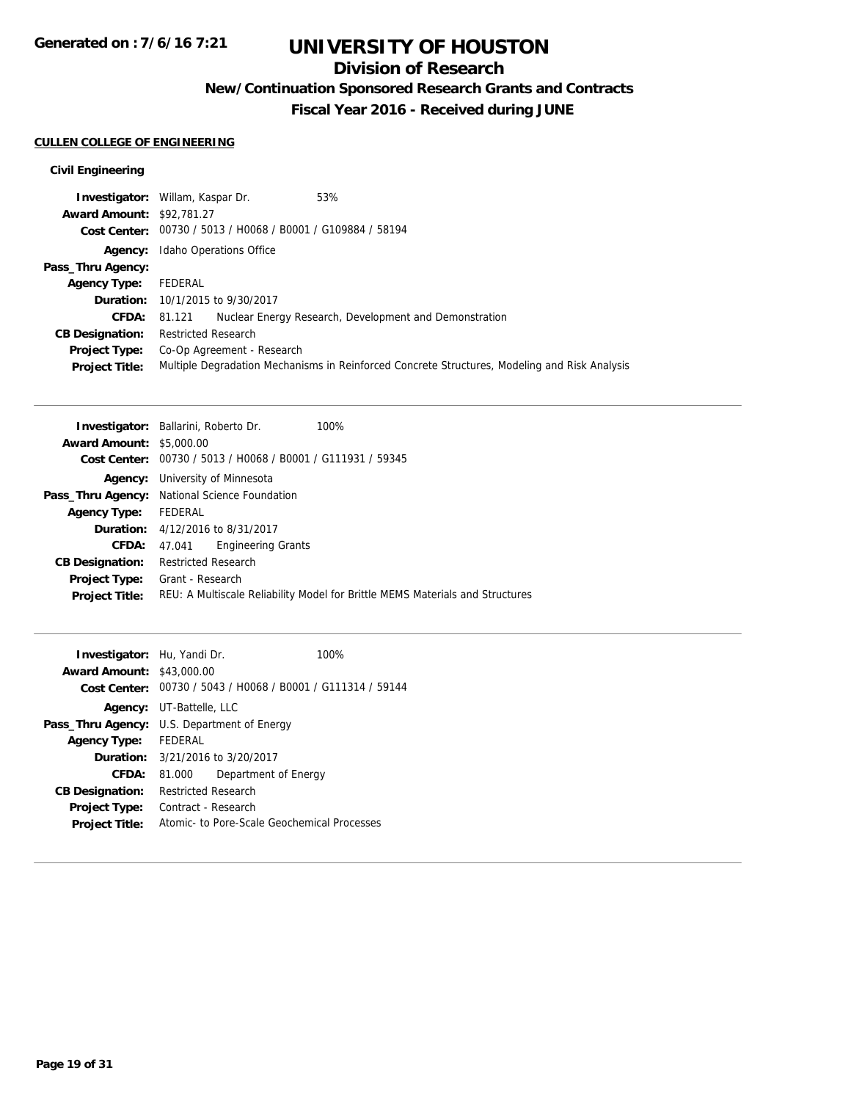## **Division of Research**

**New/Continuation Sponsored Research Grants and Contracts**

**Fiscal Year 2016 - Received during JUNE**

### **CULLEN COLLEGE OF ENGINEERING**

### **Civil Engineering**

|                                  | <b>Investigator:</b> Willam, Kaspar Dr. | 53%                                                                                           |
|----------------------------------|-----------------------------------------|-----------------------------------------------------------------------------------------------|
| <b>Award Amount: \$92,781.27</b> |                                         |                                                                                               |
|                                  |                                         | Cost Center: 00730 / 5013 / H0068 / B0001 / G109884 / 58194                                   |
| Agency:                          | Idaho Operations Office                 |                                                                                               |
| Pass_Thru Agency:                |                                         |                                                                                               |
| <b>Agency Type:</b>              | FEDERAL                                 |                                                                                               |
|                                  | <b>Duration:</b> 10/1/2015 to 9/30/2017 |                                                                                               |
| <b>CFDA:</b>                     | 81.121                                  | Nuclear Energy Research, Development and Demonstration                                        |
| <b>CB Designation:</b>           | <b>Restricted Research</b>              |                                                                                               |
| <b>Project Type:</b>             | Co-Op Agreement - Research              |                                                                                               |
| <b>Project Title:</b>            |                                         | Multiple Degradation Mechanisms in Reinforced Concrete Structures, Modeling and Risk Analysis |

| <b>Investigator:</b> Ballarini, Roberto Dr.                 | 100%                                                                          |
|-------------------------------------------------------------|-------------------------------------------------------------------------------|
| <b>Award Amount: \$5,000.00</b>                             |                                                                               |
| Cost Center: 00730 / 5013 / H0068 / B0001 / G111931 / 59345 |                                                                               |
| <b>Agency:</b> University of Minnesota                      |                                                                               |
| Pass_Thru Agency: National Science Foundation               |                                                                               |
| FEDERAL                                                     |                                                                               |
| <b>Duration:</b> 4/12/2016 to 8/31/2017                     |                                                                               |
| <b>Engineering Grants</b><br>47.041                         |                                                                               |
| <b>Restricted Research</b>                                  |                                                                               |
| Grant - Research<br><b>Project Type:</b>                    |                                                                               |
|                                                             | REU: A Multiscale Reliability Model for Brittle MEMS Materials and Structures |
|                                                             |                                                                               |

| Investigator: Hu, Yandi Dr.                        |                                 |                                                             | 100% |
|----------------------------------------------------|---------------------------------|-------------------------------------------------------------|------|
| <b>Award Amount: \$43,000.00</b>                   |                                 |                                                             |      |
|                                                    |                                 | Cost Center: 00730 / 5043 / H0068 / B0001 / G111314 / 59144 |      |
|                                                    | <b>Agency:</b> UT-Battelle, LLC |                                                             |      |
| <b>Pass_Thru Agency:</b> U.S. Department of Energy |                                 |                                                             |      |
| <b>Agency Type:</b>                                | FEDERAL                         |                                                             |      |
|                                                    |                                 | <b>Duration:</b> $3/21/2016$ to $3/20/2017$                 |      |
| <b>CFDA:</b>                                       | 81.000                          | Department of Energy                                        |      |
| <b>CB Designation:</b>                             | <b>Restricted Research</b>      |                                                             |      |
| <b>Project Type:</b>                               | Contract - Research             |                                                             |      |
| <b>Project Title:</b>                              |                                 | Atomic- to Pore-Scale Geochemical Processes                 |      |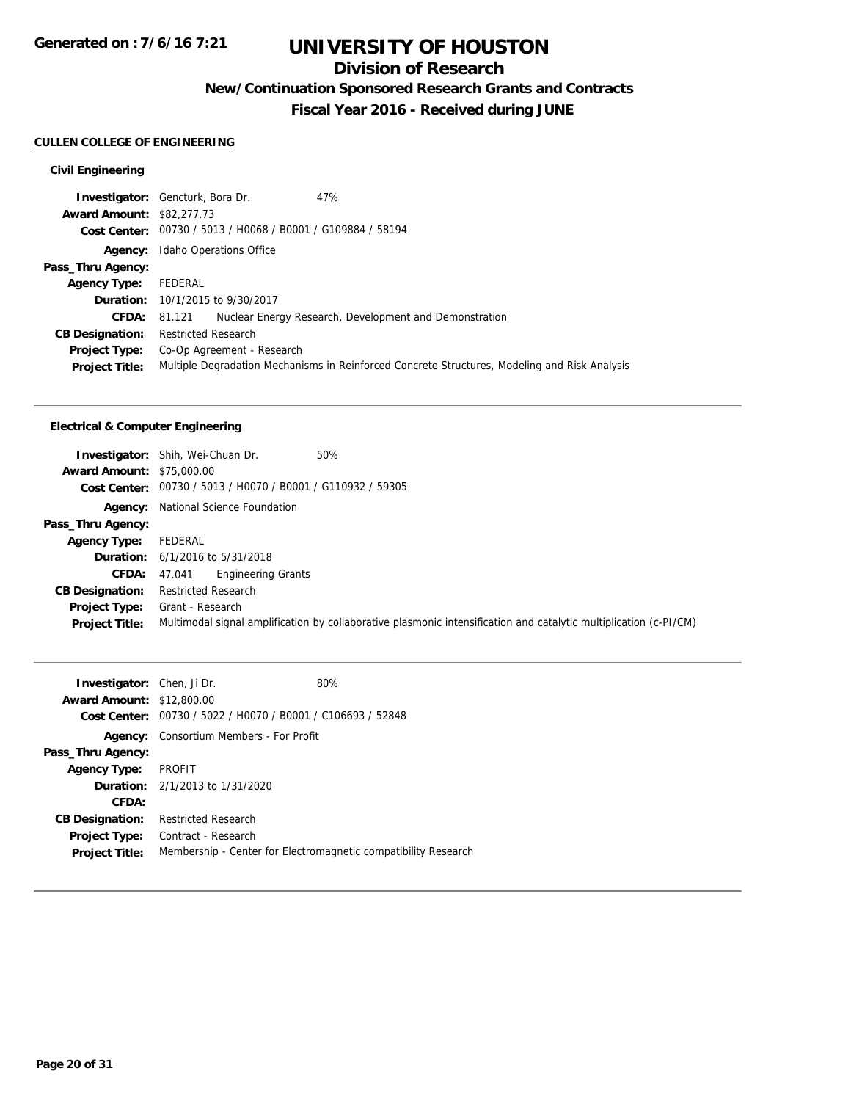## **Division of Research**

**New/Continuation Sponsored Research Grants and Contracts**

**Fiscal Year 2016 - Received during JUNE**

#### **CULLEN COLLEGE OF ENGINEERING**

### **Civil Engineering**

|                                  | <b>Investigator:</b> Gencturk, Bora Dr.                     | 47%                                                                                           |
|----------------------------------|-------------------------------------------------------------|-----------------------------------------------------------------------------------------------|
| <b>Award Amount: \$82,277.73</b> |                                                             |                                                                                               |
|                                  | Cost Center: 00730 / 5013 / H0068 / B0001 / G109884 / 58194 |                                                                                               |
| Agency:                          | Idaho Operations Office                                     |                                                                                               |
| Pass_Thru Agency:                |                                                             |                                                                                               |
| <b>Agency Type:</b>              | FEDERAL                                                     |                                                                                               |
|                                  | <b>Duration:</b> 10/1/2015 to 9/30/2017                     |                                                                                               |
| <b>CFDA:</b>                     | 81.121                                                      | Nuclear Energy Research, Development and Demonstration                                        |
| <b>CB Designation:</b>           | <b>Restricted Research</b>                                  |                                                                                               |
| <b>Project Type:</b>             | Co-Op Agreement - Research                                  |                                                                                               |
| <b>Project Title:</b>            |                                                             | Multiple Degradation Mechanisms in Reinforced Concrete Structures, Modeling and Risk Analysis |

### **Electrical & Computer Engineering**

|                                  | 50%<br><b>Investigator:</b> Shih, Wei-Chuan Dr.                                                                   |
|----------------------------------|-------------------------------------------------------------------------------------------------------------------|
| <b>Award Amount: \$75,000.00</b> |                                                                                                                   |
|                                  | Cost Center: 00730 / 5013 / H0070 / B0001 / G110932 / 59305                                                       |
|                                  | <b>Agency:</b> National Science Foundation                                                                        |
| Pass_Thru Agency:                |                                                                                                                   |
| <b>Agency Type:</b>              | FEDERAL                                                                                                           |
|                                  | <b>Duration:</b> $6/1/2016$ to $5/31/2018$                                                                        |
| <b>CFDA:</b>                     | <b>Engineering Grants</b><br>47.041                                                                               |
| <b>CB Designation:</b>           | <b>Restricted Research</b>                                                                                        |
| <b>Project Type:</b>             | Grant - Research                                                                                                  |
| <b>Project Title:</b>            | Multimodal signal amplification by collaborative plasmonic intensification and catalytic multiplication (c-PI/CM) |

| <b>Investigator:</b> Chen, Ji Dr. |                                                | 80%                                                            |
|-----------------------------------|------------------------------------------------|----------------------------------------------------------------|
| <b>Award Amount: \$12,800.00</b>  |                                                |                                                                |
| Cost Center:                      | 00730 / 5022 / H0070 / B0001 / C106693 / 52848 |                                                                |
| Agency:                           | Consortium Members - For Profit                |                                                                |
| Pass_Thru Agency:                 |                                                |                                                                |
| <b>Agency Type:</b>               | PROFIT                                         |                                                                |
|                                   | <b>Duration:</b> 2/1/2013 to 1/31/2020         |                                                                |
| CFDA:                             |                                                |                                                                |
| <b>CB Designation:</b>            | <b>Restricted Research</b>                     |                                                                |
| <b>Project Type:</b>              | Contract - Research                            |                                                                |
| <b>Project Title:</b>             |                                                | Membership - Center for Electromagnetic compatibility Research |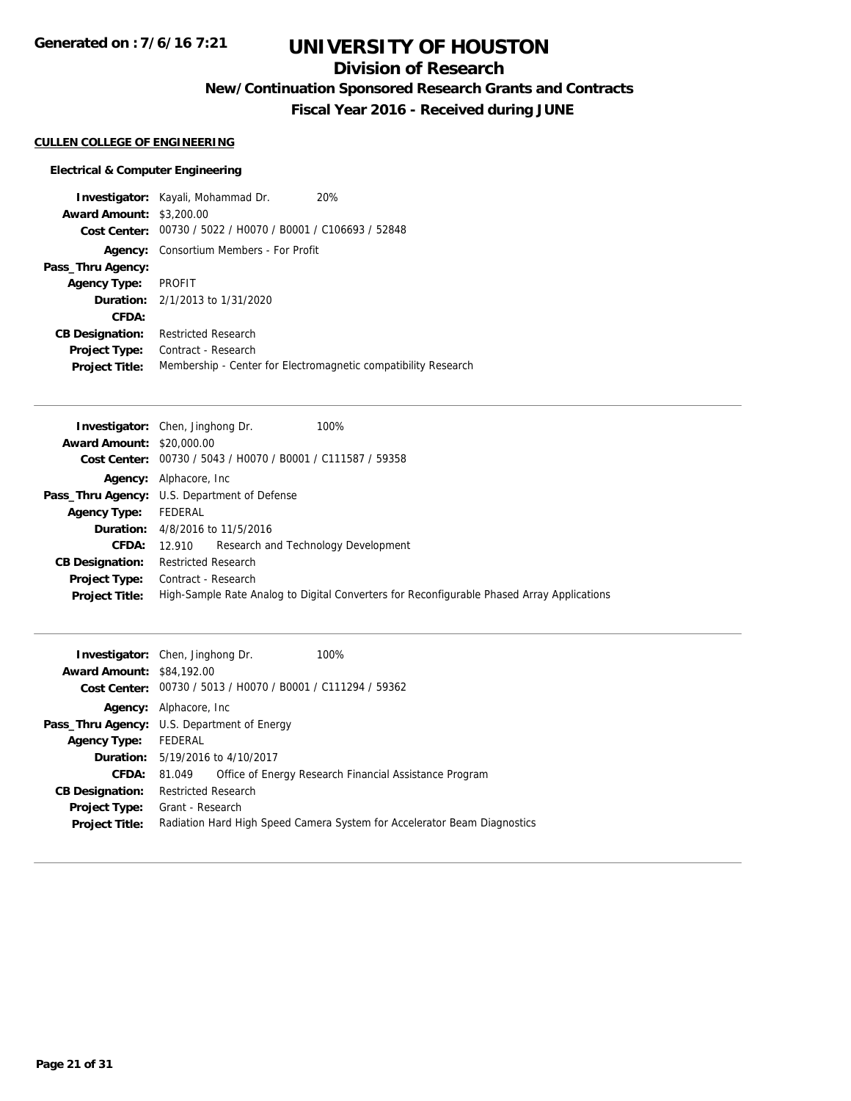## **Division of Research**

**New/Continuation Sponsored Research Grants and Contracts**

**Fiscal Year 2016 - Received during JUNE**

#### **CULLEN COLLEGE OF ENGINEERING**

#### **Electrical & Computer Engineering**

**Investigator:** Kayali, Mohammad Dr. 20% **Award Amount:** \$3,200.00 **Cost Center:** 00730 / 5022 / H0070 / B0001 / C106693 / 52848 **Agency:** Consortium Members - For Profit **Pass\_Thru Agency: Agency Type:** PROFIT **Duration:** 2/1/2013 to 1/31/2020 **CFDA: CB Designation:** Restricted Research **Project Type:** Contract - Research **Project Title:** Membership - Center for Electromagnetic compatibility Research

|                                  | 100%<br><b>Investigator:</b> Chen, Jinghong Dr.                                            |
|----------------------------------|--------------------------------------------------------------------------------------------|
| <b>Award Amount: \$20,000.00</b> |                                                                                            |
|                                  | Cost Center: 00730 / 5043 / H0070 / B0001 / C111587 / 59358                                |
|                                  | <b>Agency:</b> Alphacore, Inc.                                                             |
|                                  | Pass_Thru Agency: U.S. Department of Defense                                               |
| <b>Agency Type:</b>              | FEDERAL                                                                                    |
|                                  | <b>Duration:</b> 4/8/2016 to 11/5/2016                                                     |
| CFDA:                            | 12.910 Research and Technology Development                                                 |
| <b>CB Designation:</b>           | <b>Restricted Research</b>                                                                 |
|                                  | <b>Project Type:</b> Contract - Research                                                   |
| <b>Project Title:</b>            | High-Sample Rate Analog to Digital Converters for Reconfigurable Phased Array Applications |

| <b>Award Amount: \$84,192.00</b> | 100%<br><b>Investigator:</b> Chen, Jinghong Dr.<br>Cost Center: 00730 / 5013 / H0070 / B0001 / C111294 / 59362 |  |  |
|----------------------------------|----------------------------------------------------------------------------------------------------------------|--|--|
|                                  | <b>Agency:</b> Alphacore, Inc.                                                                                 |  |  |
|                                  | <b>Pass_Thru Agency:</b> U.S. Department of Energy                                                             |  |  |
| <b>Agency Type:</b>              | FEDERAL                                                                                                        |  |  |
|                                  | <b>Duration:</b> 5/19/2016 to 4/10/2017                                                                        |  |  |
| CFDA:                            | Office of Energy Research Financial Assistance Program<br>81.049                                               |  |  |
| <b>CB Designation:</b>           | <b>Restricted Research</b>                                                                                     |  |  |
| <b>Project Type:</b>             | Grant - Research                                                                                               |  |  |
| <b>Project Title:</b>            | Radiation Hard High Speed Camera System for Accelerator Beam Diagnostics                                       |  |  |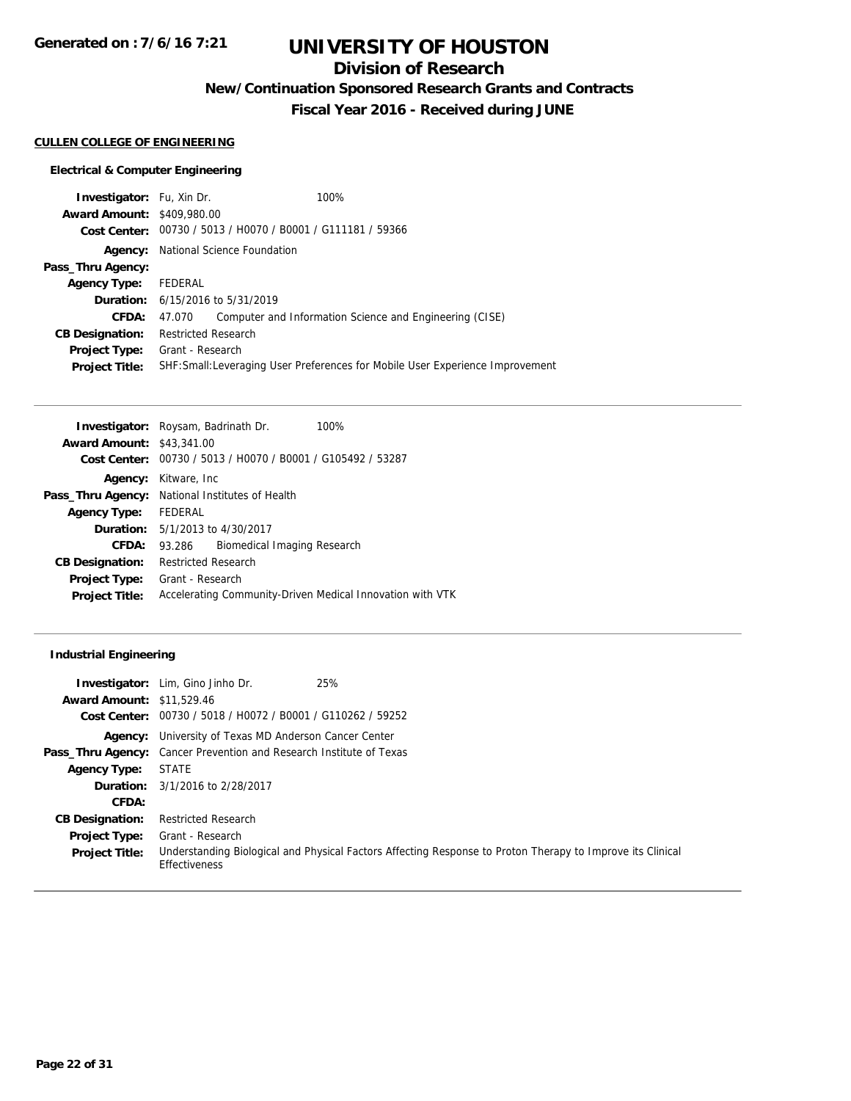**Generated on : 7/6/16 7:21**

# **UNIVERSITY OF HOUSTON**

## **Division of Research**

**New/Continuation Sponsored Research Grants and Contracts**

**Fiscal Year 2016 - Received during JUNE**

### **CULLEN COLLEGE OF ENGINEERING**

### **Electrical & Computer Engineering**

| <b>Investigator:</b> Fu, Xin Dr.      |                            |                                                             | 100%                                                                           |  |
|---------------------------------------|----------------------------|-------------------------------------------------------------|--------------------------------------------------------------------------------|--|
| <b>Award Amount: \$409,980.00</b>     |                            |                                                             |                                                                                |  |
|                                       |                            | Cost Center: 00730 / 5013 / H0070 / B0001 / G111181 / 59366 |                                                                                |  |
| Agency:                               |                            | National Science Foundation                                 |                                                                                |  |
| Pass_Thru Agency:                     |                            |                                                             |                                                                                |  |
| <b>Agency Type:</b>                   | FEDERAL                    |                                                             |                                                                                |  |
|                                       |                            | <b>Duration:</b> 6/15/2016 to 5/31/2019                     |                                                                                |  |
| CFDA:                                 | 47.070                     |                                                             | Computer and Information Science and Engineering (CISE)                        |  |
| <b>CB Designation:</b>                | <b>Restricted Research</b> |                                                             |                                                                                |  |
| <b>Project Type:</b> Grant - Research |                            |                                                             |                                                                                |  |
| <b>Project Title:</b>                 |                            |                                                             | SHF: Small: Leveraging User Preferences for Mobile User Experience Improvement |  |
|                                       |                            |                                                             |                                                                                |  |

|                                  | <b>Investigator:</b> Roysam, Badrinath Dr.                | 100% |
|----------------------------------|-----------------------------------------------------------|------|
| <b>Award Amount: \$43,341,00</b> |                                                           |      |
| Cost Center:                     | 00730 / 5013 / H0070 / B0001 / G105492 / 53287            |      |
|                                  | <b>Agency:</b> Kitware, Inc.                              |      |
|                                  | Pass_Thru Agency: National Institutes of Health           |      |
| Agency Type: FEDERAL             |                                                           |      |
|                                  | <b>Duration:</b> 5/1/2013 to 4/30/2017                    |      |
| CFDA:                            | Biomedical Imaging Research<br>93.286                     |      |
| <b>CB Designation:</b>           | <b>Restricted Research</b>                                |      |
| <b>Project Type:</b>             | Grant - Research                                          |      |
| <b>Project Title:</b>            | Accelerating Community-Driven Medical Innovation with VTK |      |

### **Industrial Engineering**

| <b>Award Amount: \$11,529.46</b> | 25%<br><b>Investigator:</b> Lim, Gino Jinho Dr.<br>Cost Center: 00730 / 5018 / H0072 / B0001 / G110262 / 59252              |
|----------------------------------|-----------------------------------------------------------------------------------------------------------------------------|
|                                  | <b>Agency:</b> University of Texas MD Anderson Cancer Center                                                                |
|                                  | <b>Pass_Thru Agency:</b> Cancer Prevention and Research Institute of Texas                                                  |
| <b>Agency Type:</b>              | <b>STATE</b>                                                                                                                |
|                                  | <b>Duration:</b> 3/1/2016 to 2/28/2017                                                                                      |
| CFDA:                            |                                                                                                                             |
| <b>CB Designation:</b>           | <b>Restricted Research</b>                                                                                                  |
| <b>Project Type:</b>             | Grant - Research                                                                                                            |
| <b>Project Title:</b>            | Understanding Biological and Physical Factors Affecting Response to Proton Therapy to Improve its Clinical<br>Effectiveness |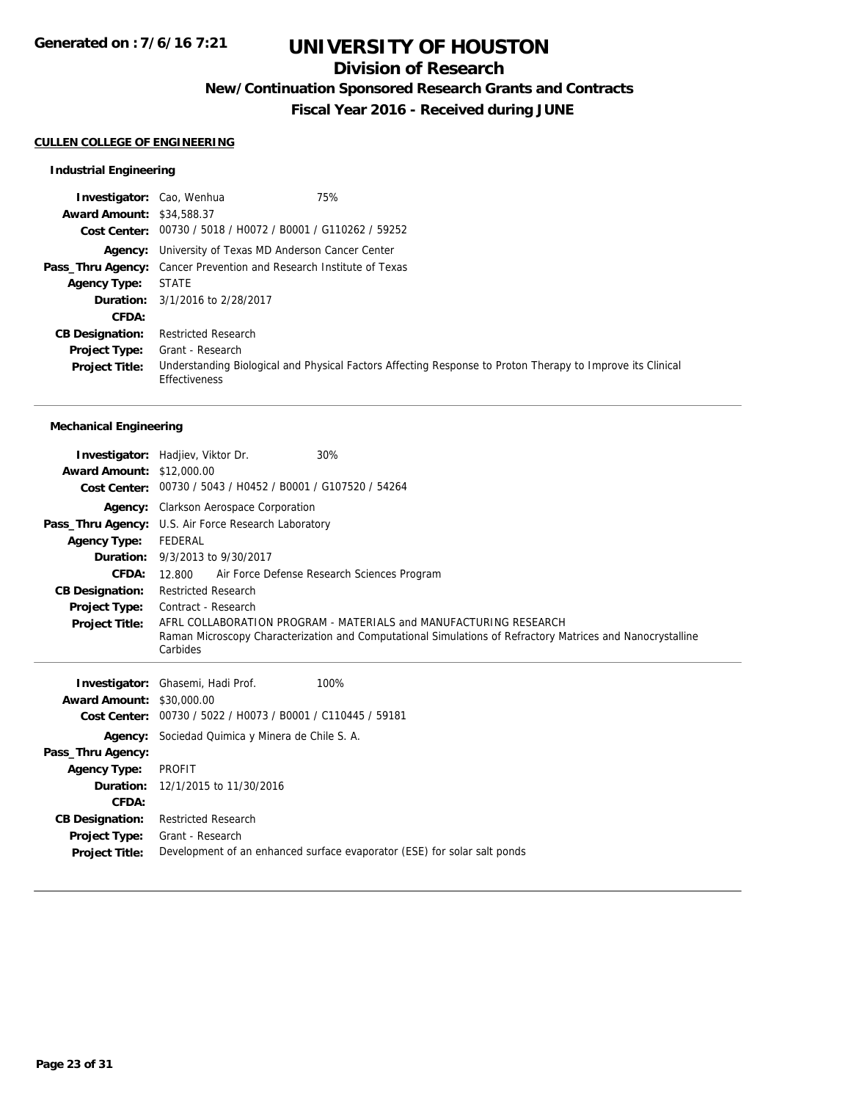## **Division of Research**

**New/Continuation Sponsored Research Grants and Contracts**

**Fiscal Year 2016 - Received during JUNE**

#### **CULLEN COLLEGE OF ENGINEERING**

### **Industrial Engineering**

| Investigator: Cao, Wenhua        | 75%                                                                                                                                |
|----------------------------------|------------------------------------------------------------------------------------------------------------------------------------|
| <b>Award Amount: \$34,588.37</b> |                                                                                                                                    |
|                                  | Cost Center: 00730 / 5018 / H0072 / B0001 / G110262 / 59252                                                                        |
|                                  | <b>Agency:</b> University of Texas MD Anderson Cancer Center                                                                       |
|                                  | <b>Pass_Thru Agency:</b> Cancer Prevention and Research Institute of Texas                                                         |
| <b>Agency Type:</b>              | <b>STATE</b>                                                                                                                       |
|                                  | <b>Duration:</b> 3/1/2016 to 2/28/2017                                                                                             |
| <b>CFDA:</b>                     |                                                                                                                                    |
| <b>CB Designation:</b>           | <b>Restricted Research</b>                                                                                                         |
| <b>Project Type:</b>             | Grant - Research                                                                                                                   |
| <b>Project Title:</b>            | Understanding Biological and Physical Factors Affecting Response to Proton Therapy to Improve its Clinical<br><b>Effectiveness</b> |

### **Mechanical Engineering**

|                                      | 30%<br><b>Investigator:</b> Hadjiev, Viktor Dr.               |                                                                                                            |
|--------------------------------------|---------------------------------------------------------------|------------------------------------------------------------------------------------------------------------|
| <b>Award Amount: \$12,000.00</b>     |                                                               |                                                                                                            |
| <b>Cost Center:</b>                  | 00730 / 5043 / H0452 / B0001 / G107520 / 54264                |                                                                                                            |
|                                      | Agency: Clarkson Aerospace Corporation                        |                                                                                                            |
|                                      | Pass_Thru Agency: U.S. Air Force Research Laboratory          |                                                                                                            |
| <b>Agency Type:</b>                  | FEDERAL                                                       |                                                                                                            |
|                                      | <b>Duration:</b> 9/3/2013 to 9/30/2017                        |                                                                                                            |
| CFDA:                                | Air Force Defense Research Sciences Program<br>12.800         |                                                                                                            |
| <b>CB Designation:</b>               | <b>Restricted Research</b>                                    |                                                                                                            |
| <b>Project Type:</b>                 | Contract - Research                                           |                                                                                                            |
| <b>Project Title:</b>                |                                                               | AFRL COLLABORATION PROGRAM - MATERIALS and MANUFACTURING RESEARCH                                          |
|                                      | Carbides                                                      | Raman Microscopy Characterization and Computational Simulations of Refractory Matrices and Nanocrystalline |
|                                      |                                                               |                                                                                                            |
|                                      |                                                               |                                                                                                            |
|                                      |                                                               |                                                                                                            |
|                                      | Investigator: Ghasemi, Hadi Prof.                             | 100%                                                                                                       |
| <b>Award Amount:</b><br>Cost Center: | \$30,000.00<br>00730 / 5022 / H0073 / B0001 / C110445 / 59181 |                                                                                                            |
| Agency:                              | Sociedad Quimica y Minera de Chile S. A.                      |                                                                                                            |
| Pass_Thru Agency:                    |                                                               |                                                                                                            |
| <b>Agency Type:</b>                  | <b>PROFIT</b>                                                 |                                                                                                            |
| Duration:                            | 12/1/2015 to 11/30/2016                                       |                                                                                                            |
| CFDA:                                |                                                               |                                                                                                            |
| <b>CB Designation:</b>               | <b>Restricted Research</b>                                    |                                                                                                            |
| <b>Project Type:</b>                 | Grant - Research                                              |                                                                                                            |
| <b>Project Title:</b>                |                                                               | Development of an enhanced surface evaporator (ESE) for solar salt ponds                                   |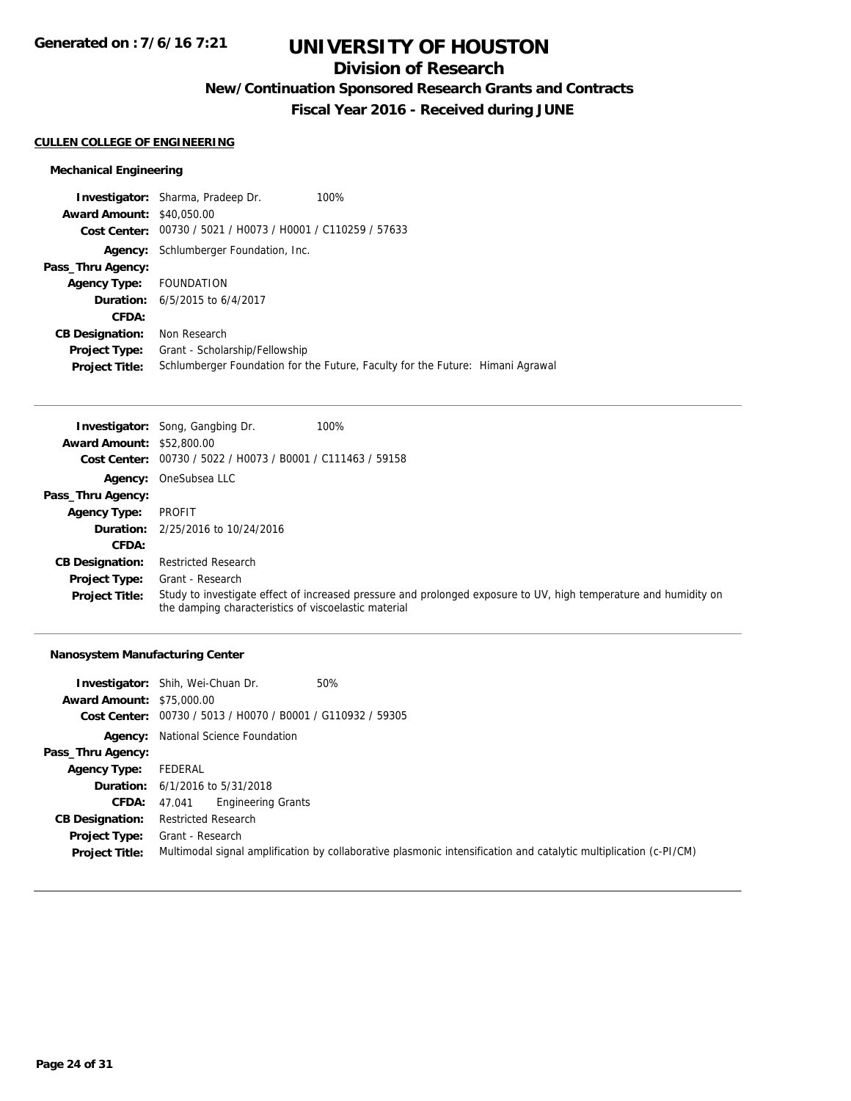## **Division of Research**

**New/Continuation Sponsored Research Grants and Contracts**

**Fiscal Year 2016 - Received during JUNE**

#### **CULLEN COLLEGE OF ENGINEERING**

### **Mechanical Engineering**

|                                  | <b>Investigator:</b> Sharma, Pradeep Dr.                    | 100%                                                                           |  |
|----------------------------------|-------------------------------------------------------------|--------------------------------------------------------------------------------|--|
| <b>Award Amount: \$40,050.00</b> |                                                             |                                                                                |  |
|                                  | Cost Center: 00730 / 5021 / H0073 / H0001 / C110259 / 57633 |                                                                                |  |
| Agency:                          | Schlumberger Foundation, Inc.                               |                                                                                |  |
| Pass_Thru Agency:                |                                                             |                                                                                |  |
| <b>Agency Type:</b>              | FOUNDATION                                                  |                                                                                |  |
|                                  | <b>Duration:</b> $6/5/2015$ to $6/4/2017$                   |                                                                                |  |
| CFDA:                            |                                                             |                                                                                |  |
| <b>CB Designation:</b>           | Non Research                                                |                                                                                |  |
| <b>Project Type:</b>             | Grant - Scholarship/Fellowship                              |                                                                                |  |
| <b>Project Title:</b>            |                                                             | Schlumberger Foundation for the Future, Faculty for the Future: Himani Agrawal |  |

|                                  | <b>Investigator:</b> Song, Gangbing Dr.              | 100%                                                                                                             |
|----------------------------------|------------------------------------------------------|------------------------------------------------------------------------------------------------------------------|
| <b>Award Amount: \$52,800.00</b> |                                                      |                                                                                                                  |
| Cost Center:                     | 00730 / 5022 / H0073 / B0001 / C111463 / 59158       |                                                                                                                  |
|                                  | Agency: OneSubsea LLC                                |                                                                                                                  |
| Pass_Thru Agency:                |                                                      |                                                                                                                  |
| <b>Agency Type:</b>              | PROFIT                                               |                                                                                                                  |
|                                  | <b>Duration:</b> 2/25/2016 to 10/24/2016             |                                                                                                                  |
| CFDA:                            |                                                      |                                                                                                                  |
| <b>CB Designation:</b>           | <b>Restricted Research</b>                           |                                                                                                                  |
| <b>Project Type:</b>             | Grant - Research                                     |                                                                                                                  |
| <b>Project Title:</b>            | the damping characteristics of viscoelastic material | Study to investigate effect of increased pressure and prolonged exposure to UV, high temperature and humidity on |

### **Nanosystem Manufacturing Center**

|                                  | 50%<br><b>Investigator:</b> Shih, Wei-Chuan Dr.                                                                   |
|----------------------------------|-------------------------------------------------------------------------------------------------------------------|
| <b>Award Amount: \$75,000.00</b> |                                                                                                                   |
|                                  | Cost Center: 00730 / 5013 / H0070 / B0001 / G110932 / 59305                                                       |
|                                  | <b>Agency:</b> National Science Foundation                                                                        |
| Pass_Thru Agency:                |                                                                                                                   |
| <b>Agency Type:</b>              | FEDERAL                                                                                                           |
|                                  | <b>Duration:</b> $6/1/2016$ to $5/31/2018$                                                                        |
| CFDA:                            | <b>Engineering Grants</b><br>47.041                                                                               |
| <b>CB Designation:</b>           | Restricted Research                                                                                               |
| <b>Project Type:</b>             | Grant - Research                                                                                                  |
| <b>Project Title:</b>            | Multimodal signal amplification by collaborative plasmonic intensification and catalytic multiplication (c-PI/CM) |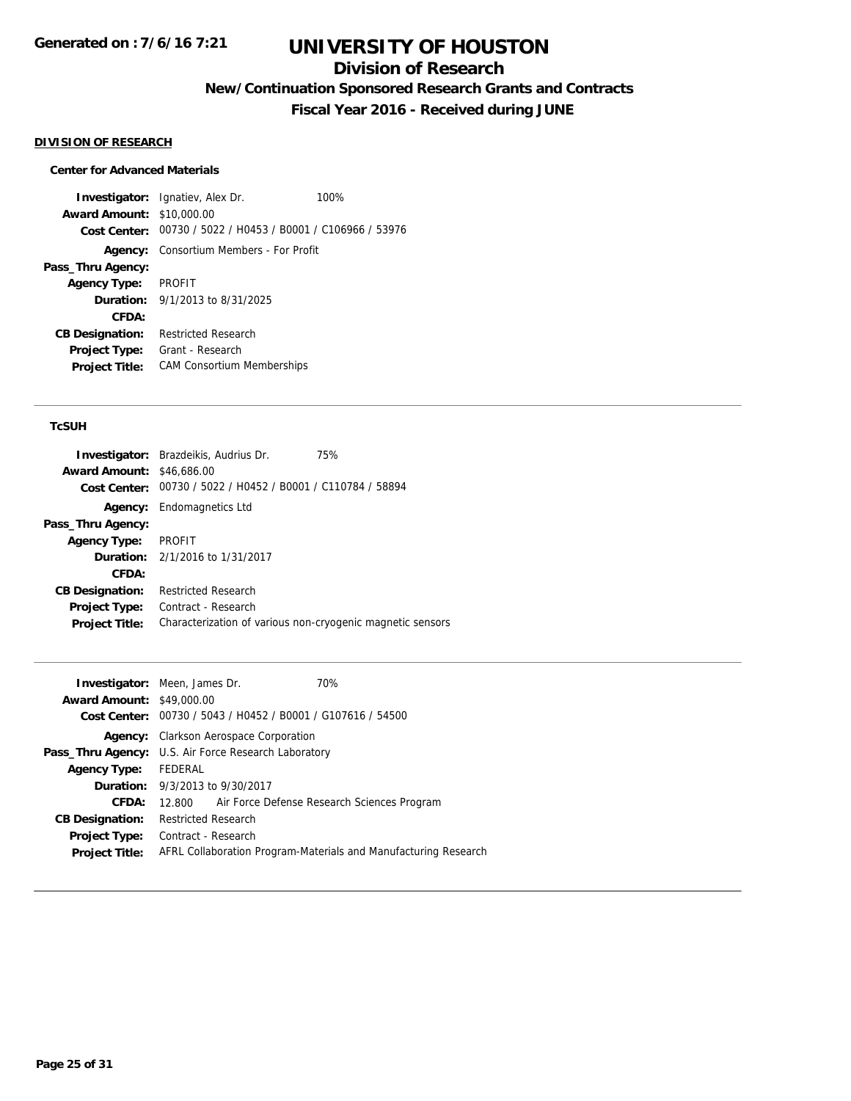## **Division of Research**

**New/Continuation Sponsored Research Grants and Contracts**

**Fiscal Year 2016 - Received during JUNE**

#### **DIVISION OF RESEARCH**

### **Center for Advanced Materials**

**Investigator:** Ignatiev, Alex Dr. 100% **Award Amount:** \$10,000.00 **Cost Center:** 00730 / 5022 / H0453 / B0001 / C106966 / 53976 **Agency:** Consortium Members - For Profit **Pass\_Thru Agency: Agency Type:** PROFIT **Duration:** 9/1/2013 to 8/31/2025 **CFDA: CB Designation:** Restricted Research **Project Type:** Grant - Research **Project Title:** CAM Consortium Memberships

#### **TcSUH**

|                                  | <b>Investigator:</b> Brazdeikis, Audrius Dr.                | 75% |
|----------------------------------|-------------------------------------------------------------|-----|
| <b>Award Amount: \$46,686.00</b> |                                                             |     |
|                                  | Cost Center: 00730 / 5022 / H0452 / B0001 / C110784 / 58894 |     |
| Agency:                          | Endomagnetics Ltd                                           |     |
| Pass_Thru Agency:                |                                                             |     |
| <b>Agency Type:</b>              | PROFIT                                                      |     |
|                                  | <b>Duration:</b> 2/1/2016 to 1/31/2017                      |     |
| CFDA:                            |                                                             |     |
| <b>CB Designation:</b>           | <b>Restricted Research</b>                                  |     |
| <b>Project Type:</b>             | Contract - Research                                         |     |
| <b>Project Title:</b>            | Characterization of various non-cryogenic magnetic sensors  |     |

|                                  | <b>Investigator:</b> Meen, James Dr.                 | 70%                                                             |
|----------------------------------|------------------------------------------------------|-----------------------------------------------------------------|
| <b>Award Amount: \$49,000.00</b> |                                                      |                                                                 |
|                                  |                                                      | Cost Center: 00730 / 5043 / H0452 / B0001 / G107616 / 54500     |
|                                  | <b>Agency:</b> Clarkson Aerospace Corporation        |                                                                 |
|                                  | Pass_Thru Agency: U.S. Air Force Research Laboratory |                                                                 |
| <b>Agency Type:</b>              | FEDERAL                                              |                                                                 |
|                                  | <b>Duration:</b> 9/3/2013 to 9/30/2017               |                                                                 |
| CFDA:                            | 12.800                                               | Air Force Defense Research Sciences Program                     |
| <b>CB Designation:</b>           | <b>Restricted Research</b>                           |                                                                 |
| <b>Project Type:</b>             | Contract - Research                                  |                                                                 |
| <b>Project Title:</b>            |                                                      | AFRL Collaboration Program-Materials and Manufacturing Research |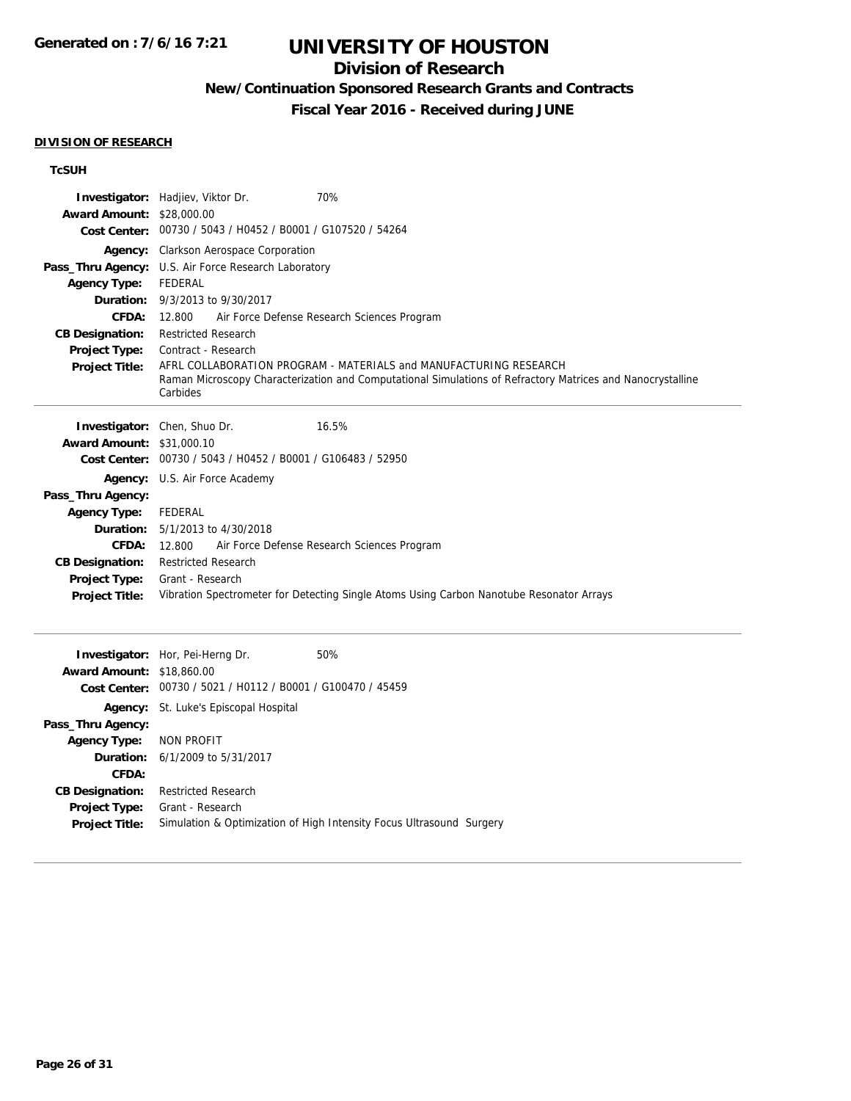## **Division of Research**

**New/Continuation Sponsored Research Grants and Contracts**

**Fiscal Year 2016 - Received during JUNE**

#### **DIVISION OF RESEARCH**

### **TcSUH**

| <b>Award Amount: \$28,000.00</b><br><b>Agency Type:</b><br>Duration:<br>CFDA:<br><b>CB Designation:</b><br><b>Project Type:</b><br><b>Project Title:</b> | 70%<br>Investigator: Hadjiev, Viktor Dr.<br>Cost Center: 00730 / 5043 / H0452 / B0001 / G107520 / 54264<br>Agency: Clarkson Aerospace Corporation<br>Pass_Thru Agency: U.S. Air Force Research Laboratory<br><b>FEDERAL</b><br>9/3/2013 to 9/30/2017<br>Air Force Defense Research Sciences Program<br>12.800<br><b>Restricted Research</b><br>Contract - Research<br>AFRL COLLABORATION PROGRAM - MATERIALS and MANUFACTURING RESEARCH<br>Raman Microscopy Characterization and Computational Simulations of Refractory Matrices and Nanocrystalline<br>Carbides |
|----------------------------------------------------------------------------------------------------------------------------------------------------------|-------------------------------------------------------------------------------------------------------------------------------------------------------------------------------------------------------------------------------------------------------------------------------------------------------------------------------------------------------------------------------------------------------------------------------------------------------------------------------------------------------------------------------------------------------------------|
| <b>Award Amount: \$31,000.10</b>                                                                                                                         | Investigator: Chen, Shuo Dr.<br>16.5%                                                                                                                                                                                                                                                                                                                                                                                                                                                                                                                             |
|                                                                                                                                                          | Cost Center: 00730 / 5043 / H0452 / B0001 / G106483 / 52950                                                                                                                                                                                                                                                                                                                                                                                                                                                                                                       |
| Agency:                                                                                                                                                  | U.S. Air Force Academy                                                                                                                                                                                                                                                                                                                                                                                                                                                                                                                                            |
| Pass_Thru Agency:<br><b>Agency Type:</b>                                                                                                                 | <b>FEDERAL</b>                                                                                                                                                                                                                                                                                                                                                                                                                                                                                                                                                    |
| Duration:                                                                                                                                                | 5/1/2013 to 4/30/2018                                                                                                                                                                                                                                                                                                                                                                                                                                                                                                                                             |
| CFDA:                                                                                                                                                    | Air Force Defense Research Sciences Program<br>12.800                                                                                                                                                                                                                                                                                                                                                                                                                                                                                                             |
| <b>CB Designation:</b>                                                                                                                                   | <b>Restricted Research</b>                                                                                                                                                                                                                                                                                                                                                                                                                                                                                                                                        |
| Project Type:                                                                                                                                            | Grant - Research                                                                                                                                                                                                                                                                                                                                                                                                                                                                                                                                                  |
| <b>Project Title:</b>                                                                                                                                    | Vibration Spectrometer for Detecting Single Atoms Using Carbon Nanotube Resonator Arrays                                                                                                                                                                                                                                                                                                                                                                                                                                                                          |
|                                                                                                                                                          | 50%<br>Investigator: Hor, Pei-Herng Dr.                                                                                                                                                                                                                                                                                                                                                                                                                                                                                                                           |
| <b>Award Amount: \$18,860.00</b>                                                                                                                         | Cost Center: 00730 / 5021 / H0112 / B0001 / G100470 / 45459                                                                                                                                                                                                                                                                                                                                                                                                                                                                                                       |
|                                                                                                                                                          | Agency: St. Luke's Episcopal Hospital                                                                                                                                                                                                                                                                                                                                                                                                                                                                                                                             |
| Pass_Thru Agency:                                                                                                                                        |                                                                                                                                                                                                                                                                                                                                                                                                                                                                                                                                                                   |
| <b>Agency Type:</b><br>Duration:                                                                                                                         | <b>NON PROFIT</b><br>6/1/2009 to 5/31/2017                                                                                                                                                                                                                                                                                                                                                                                                                                                                                                                        |
| CFDA:                                                                                                                                                    |                                                                                                                                                                                                                                                                                                                                                                                                                                                                                                                                                                   |
| <b>CB Designation:</b>                                                                                                                                   | <b>Restricted Research</b>                                                                                                                                                                                                                                                                                                                                                                                                                                                                                                                                        |
| Project Type:                                                                                                                                            | Grant - Research                                                                                                                                                                                                                                                                                                                                                                                                                                                                                                                                                  |
| <b>Project Title:</b>                                                                                                                                    | Simulation & Optimization of High Intensity Focus Ultrasound Surgery                                                                                                                                                                                                                                                                                                                                                                                                                                                                                              |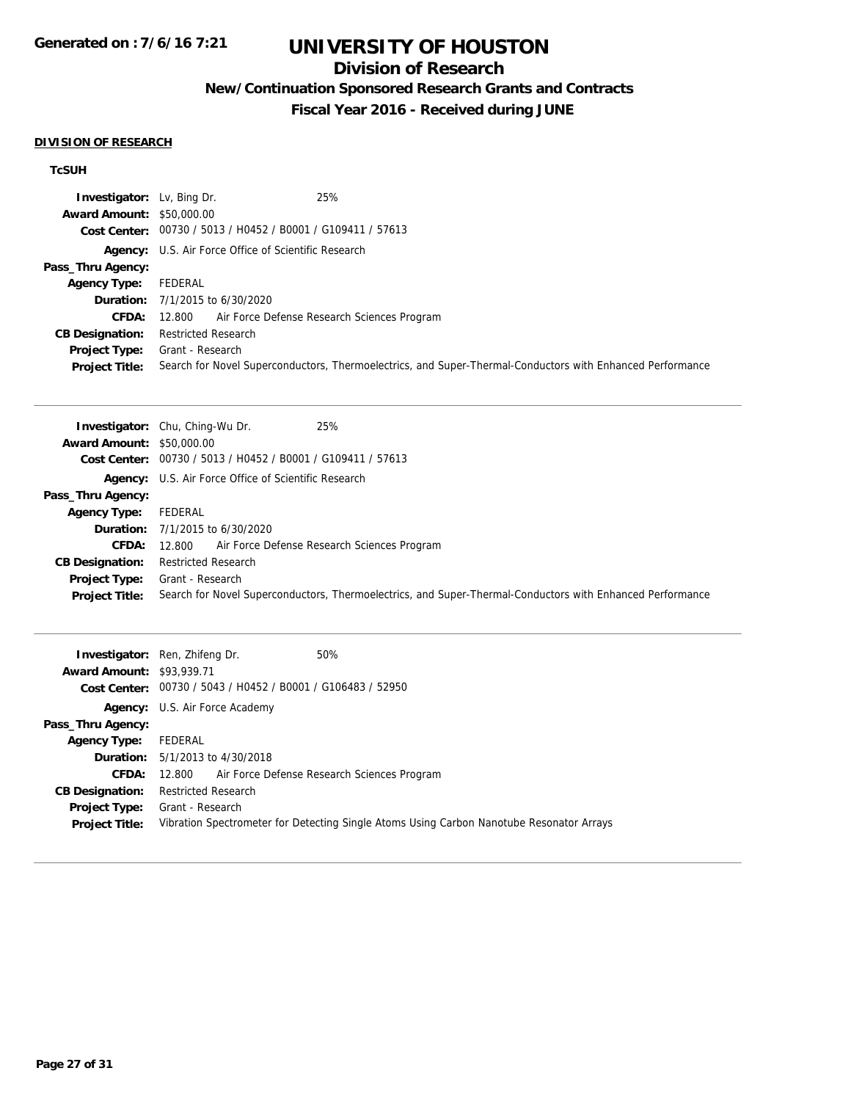## **Division of Research**

**New/Continuation Sponsored Research Grants and Contracts**

**Fiscal Year 2016 - Received during JUNE**

#### **DIVISION OF RESEARCH**

### **TcSUH**

| <b>Investigator:</b> Lv, Bing Dr. | 25%                                                                                                       |
|-----------------------------------|-----------------------------------------------------------------------------------------------------------|
| <b>Award Amount: \$50,000.00</b>  |                                                                                                           |
|                                   | Cost Center: 00730 / 5013 / H0452 / B0001 / G109411 / 57613                                               |
|                                   | <b>Agency:</b> U.S. Air Force Office of Scientific Research                                               |
| Pass_Thru Agency:                 |                                                                                                           |
| <b>Agency Type:</b>               | FEDERAL                                                                                                   |
|                                   | <b>Duration:</b> 7/1/2015 to 6/30/2020                                                                    |
| CFDA:                             | 12.800 Air Force Defense Research Sciences Program                                                        |
| <b>CB Designation:</b>            | <b>Restricted Research</b>                                                                                |
| <b>Project Type:</b>              | Grant - Research                                                                                          |
| <b>Project Title:</b>             | Search for Novel Superconductors, Thermoelectrics, and Super-Thermal-Conductors with Enhanced Performance |

|                                  | 25%<br><b>Investigator:</b> Chu, Ching-Wu Dr.                                                             |
|----------------------------------|-----------------------------------------------------------------------------------------------------------|
| <b>Award Amount: \$50,000.00</b> |                                                                                                           |
|                                  | Cost Center: 00730 / 5013 / H0452 / B0001 / G109411 / 57613                                               |
|                                  | <b>Agency:</b> U.S. Air Force Office of Scientific Research                                               |
| Pass_Thru Agency:                |                                                                                                           |
| Agency Type:                     | FEDERAL                                                                                                   |
|                                  | <b>Duration:</b> 7/1/2015 to 6/30/2020                                                                    |
| <b>CFDA:</b>                     | Air Force Defense Research Sciences Program<br>12.800                                                     |
| <b>CB Designation:</b>           | <b>Restricted Research</b>                                                                                |
| <b>Project Type:</b>             | Grant - Research                                                                                          |
| <b>Project Title:</b>            | Search for Novel Superconductors, Thermoelectrics, and Super-Thermal-Conductors with Enhanced Performance |

| <b>Award Amount: \$93,939.71</b>              | 50%<br><b>Investigator:</b> Ren, Zhifeng Dr.<br>Cost Center: 00730 / 5043 / H0452 / B0001 / G106483 / 52950  |
|-----------------------------------------------|--------------------------------------------------------------------------------------------------------------|
|                                               | <b>Agency:</b> U.S. Air Force Academy                                                                        |
| Pass_Thru Agency:                             |                                                                                                              |
| <b>Agency Type:</b>                           | FEDERAL                                                                                                      |
|                                               | <b>Duration:</b> $5/1/2013$ to $4/30/2018$                                                                   |
|                                               | <b>CFDA:</b> 12.800 Air Force Defense Research Sciences Program                                              |
| <b>CB Designation:</b>                        | <b>Restricted Research</b>                                                                                   |
| <b>Project Type:</b><br><b>Project Title:</b> | Grant - Research<br>Vibration Spectrometer for Detecting Single Atoms Using Carbon Nanotube Resonator Arrays |
|                                               |                                                                                                              |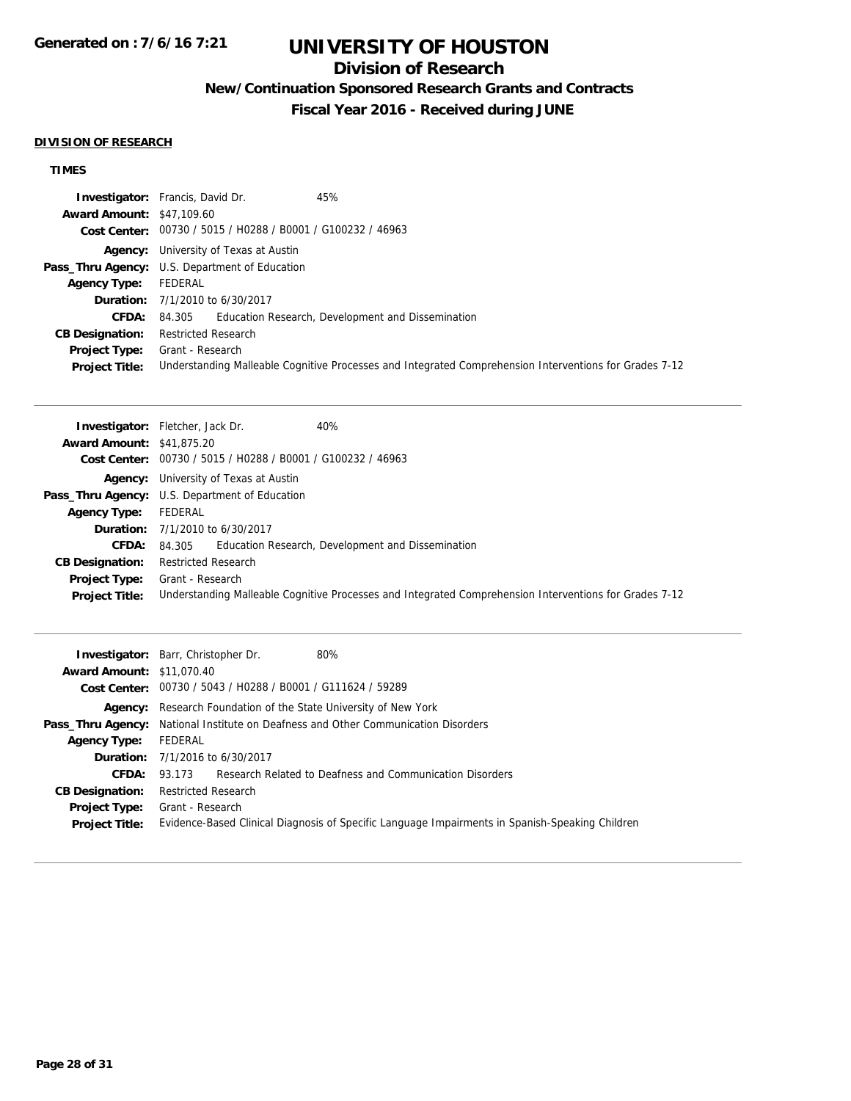## **Division of Research**

**New/Continuation Sponsored Research Grants and Contracts**

**Fiscal Year 2016 - Received during JUNE**

#### **DIVISION OF RESEARCH**

## **TIMES**

|                                  | <b>Investigator:</b> Francis, David Dr.<br>45%                                                         |
|----------------------------------|--------------------------------------------------------------------------------------------------------|
| <b>Award Amount: \$47,109.60</b> |                                                                                                        |
|                                  | Cost Center: 00730 / 5015 / H0288 / B0001 / G100232 / 46963                                            |
|                                  | <b>Agency:</b> University of Texas at Austin                                                           |
|                                  | <b>Pass_Thru Agency:</b> U.S. Department of Education                                                  |
| <b>Agency Type:</b>              | FEDERAL                                                                                                |
|                                  | <b>Duration:</b> 7/1/2010 to 6/30/2017                                                                 |
| CFDA:                            | 84.305 Education Research, Development and Dissemination                                               |
| <b>CB Designation:</b>           | <b>Restricted Research</b>                                                                             |
| <b>Project Type:</b>             | Grant - Research                                                                                       |
| <b>Project Title:</b>            | Understanding Malleable Cognitive Processes and Integrated Comprehension Interventions for Grades 7-12 |

|                                  | 40%<br><b>Investigator:</b> Fletcher, Jack Dr.                                                         |
|----------------------------------|--------------------------------------------------------------------------------------------------------|
| <b>Award Amount: \$41,875.20</b> |                                                                                                        |
|                                  | Cost Center: 00730 / 5015 / H0288 / B0001 / G100232 / 46963                                            |
|                                  | <b>Agency:</b> University of Texas at Austin                                                           |
|                                  | <b>Pass_Thru Agency:</b> U.S. Department of Education                                                  |
| <b>Agency Type:</b>              | FEDERAL                                                                                                |
|                                  | <b>Duration:</b> 7/1/2010 to 6/30/2017                                                                 |
| CFDA:                            | 84.305 Education Research, Development and Dissemination                                               |
| <b>CB Designation:</b>           | <b>Restricted Research</b>                                                                             |
| <b>Project Type:</b>             | Grant - Research                                                                                       |
| <b>Project Title:</b>            | Understanding Malleable Cognitive Processes and Integrated Comprehension Interventions for Grades 7-12 |

|                                  | 80%<br><b>Investigator:</b> Barr, Christopher Dr.                                               |
|----------------------------------|-------------------------------------------------------------------------------------------------|
| <b>Award Amount: \$11,070.40</b> |                                                                                                 |
|                                  | Cost Center: 00730 / 5043 / H0288 / B0001 / G111624 / 59289                                     |
|                                  | <b>Agency:</b> Research Foundation of the State University of New York                          |
|                                  | <b>Pass_Thru Agency:</b> National Institute on Deafness and Other Communication Disorders       |
| <b>Agency Type:</b>              | FEDERAL                                                                                         |
|                                  | <b>Duration:</b> 7/1/2016 to 6/30/2017                                                          |
| CFDA:                            | Research Related to Deafness and Communication Disorders<br>93.173                              |
| <b>CB Designation:</b>           | <b>Restricted Research</b>                                                                      |
| <b>Project Type:</b>             | Grant - Research                                                                                |
| <b>Project Title:</b>            | Evidence-Based Clinical Diagnosis of Specific Language Impairments in Spanish-Speaking Children |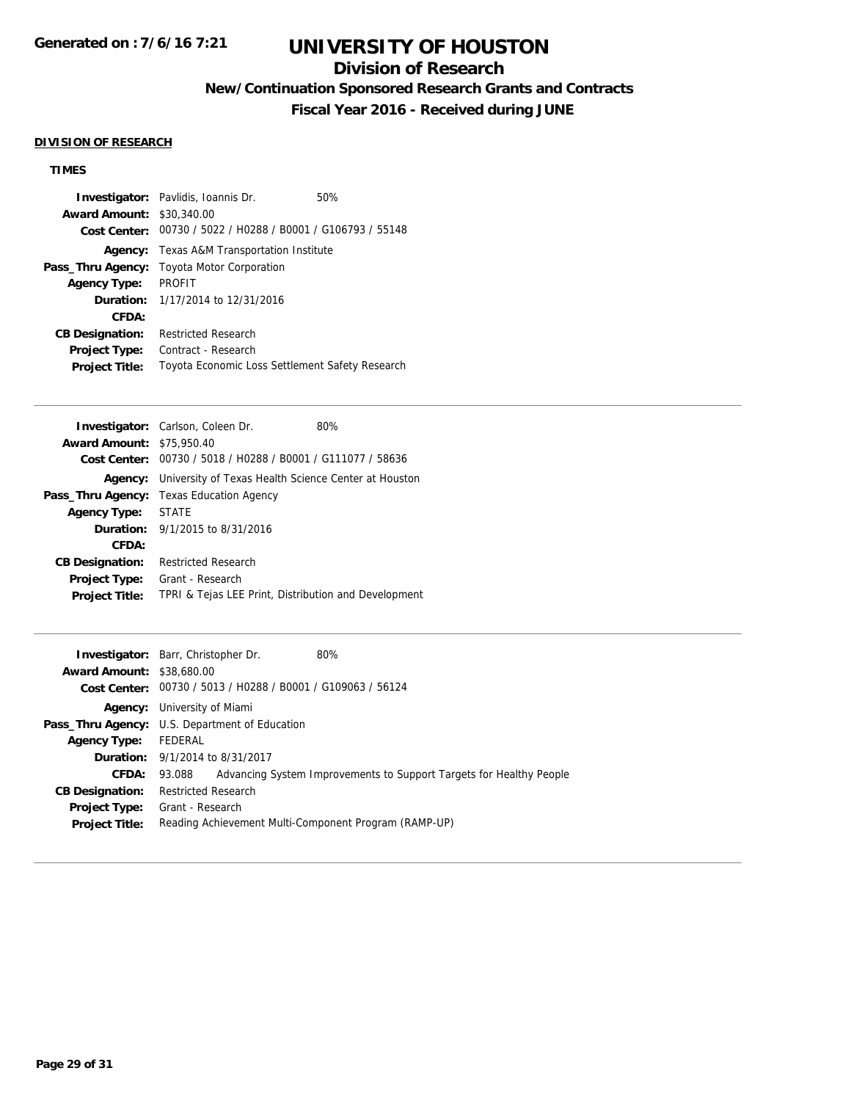## **Division of Research**

**New/Continuation Sponsored Research Grants and Contracts**

**Fiscal Year 2016 - Received during JUNE**

#### **DIVISION OF RESEARCH**

## **TIMES**

|                                                             | <b>Investigator:</b> Pavlidis, Ioannis Dr.        | 50% |
|-------------------------------------------------------------|---------------------------------------------------|-----|
| <b>Award Amount:</b>                                        | \$30,340.00                                       |     |
| Cost Center: 00730 / 5022 / H0288 / B0001 / G106793 / 55148 |                                                   |     |
|                                                             | <b>Agency:</b> Texas A&M Transportation Institute |     |
| Pass_Thru Agency:                                           | Toyota Motor Corporation                          |     |
| <b>Agency Type:</b>                                         | <b>PROFIT</b>                                     |     |
|                                                             | <b>Duration:</b> 1/17/2014 to 12/31/2016          |     |
| CFDA:                                                       |                                                   |     |
| <b>CB Designation:</b>                                      | Restricted Research                               |     |
| <b>Project Type:</b>                                        | Contract - Research                               |     |
| <b>Project Title:</b>                                       | Toyota Economic Loss Settlement Safety Research   |     |

| <b>Investigator:</b> Carlson, Coleen Dr.<br>80%      |  |
|------------------------------------------------------|--|
| <b>Award Amount: \$75,950.40</b>                     |  |
| 00730 / 5018 / H0288 / B0001 / G111077 / 58636       |  |
| University of Texas Health Science Center at Houston |  |
| <b>Texas Education Agency</b>                        |  |
| <b>STATE</b>                                         |  |
| <b>Duration:</b> $9/1/2015$ to $8/31/2016$           |  |
|                                                      |  |
| <b>Restricted Research</b>                           |  |
| Grant - Research                                     |  |
| TPRI & Tejas LEE Print, Distribution and Development |  |
| <b>Cost Center:</b>                                  |  |

|                                  | 80%<br><b>Investigator:</b> Barr, Christopher Dr.                             |
|----------------------------------|-------------------------------------------------------------------------------|
| <b>Award Amount: \$38,680.00</b> |                                                                               |
|                                  | Cost Center: 00730 / 5013 / H0288 / B0001 / G109063 / 56124                   |
|                                  | <b>Agency:</b> University of Miami                                            |
|                                  | <b>Pass_Thru Agency:</b> U.S. Department of Education                         |
| <b>Agency Type:</b>              | FEDERAL                                                                       |
|                                  | <b>Duration:</b> 9/1/2014 to 8/31/2017                                        |
| <b>CFDA:</b>                     | Advancing System Improvements to Support Targets for Healthy People<br>93.088 |
| <b>CB Designation:</b>           | <b>Restricted Research</b>                                                    |
| <b>Project Type:</b>             | Grant - Research                                                              |
| <b>Project Title:</b>            | Reading Achievement Multi-Component Program (RAMP-UP)                         |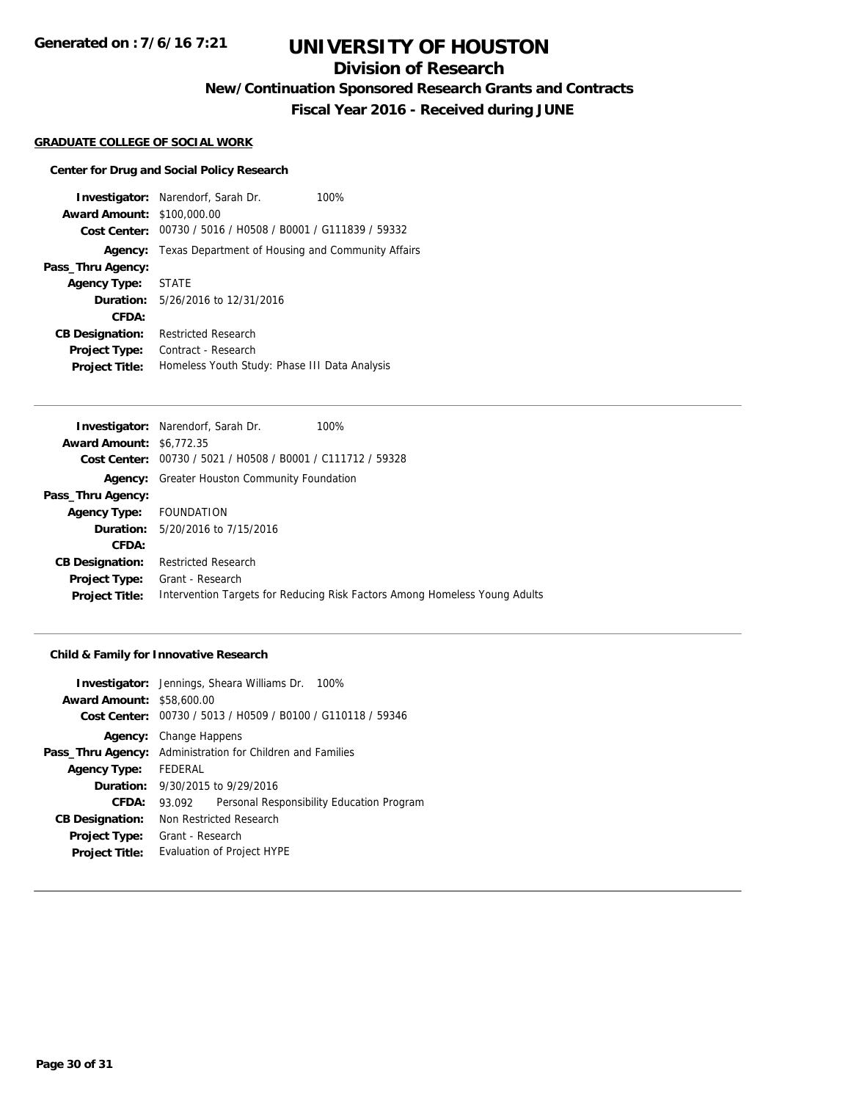**Generated on : 7/6/16 7:21**

## **UNIVERSITY OF HOUSTON**

## **Division of Research**

**New/Continuation Sponsored Research Grants and Contracts**

**Fiscal Year 2016 - Received during JUNE**

### **GRADUATE COLLEGE OF SOCIAL WORK**

#### **Center for Drug and Social Policy Research**

**Investigator:** Narendorf, Sarah Dr. 100% **Award Amount:** \$100,000.00 **Cost Center:** 00730 / 5016 / H0508 / B0001 / G111839 / 59332 **Agency:** Texas Department of Housing and Community Affairs **Pass\_Thru Agency: Agency Type:** STATE **Duration:** 5/26/2016 to 12/31/2016 **CFDA: CB Designation:** Restricted Research **Project Type:** Contract - Research **Project Title:** Homeless Youth Study: Phase III Data Analysis

|                                 | <b>Investigator:</b> Narendorf, Sarah Dr.<br>100%                          |
|---------------------------------|----------------------------------------------------------------------------|
| <b>Award Amount: \$6,772.35</b> |                                                                            |
| Cost Center:                    | 00730 / 5021 / H0508 / B0001 / C111712 / 59328                             |
|                                 | <b>Agency:</b> Greater Houston Community Foundation                        |
| Pass_Thru Agency:               |                                                                            |
| <b>Agency Type:</b>             | FOUNDATION                                                                 |
|                                 | <b>Duration:</b> 5/20/2016 to 7/15/2016                                    |
| CFDA:                           |                                                                            |
| <b>CB Designation:</b>          | <b>Restricted Research</b>                                                 |
| <b>Project Type:</b>            | Grant - Research                                                           |
| <b>Project Title:</b>           | Intervention Targets for Reducing Risk Factors Among Homeless Young Adults |
|                                 |                                                                            |

#### **Child & Family for Innovative Research**

| <b>Investigator:</b> Jennings, Sheara Williams Dr. 100% |
|---------------------------------------------------------|
| <b>Award Amount: \$58,600.00</b>                        |
| 00730 / 5013 / H0509 / B0100 / G110118 / 59346          |
| <b>Agency:</b> Change Happens                           |
| Administration for Children and Families                |
| FEDERAL                                                 |
| <b>Duration:</b> 9/30/2015 to 9/29/2016                 |
| Personal Responsibility Education Program<br>93.092     |
| Non Restricted Research                                 |
| Grant - Research                                        |
| <b>Evaluation of Project HYPE</b>                       |
|                                                         |